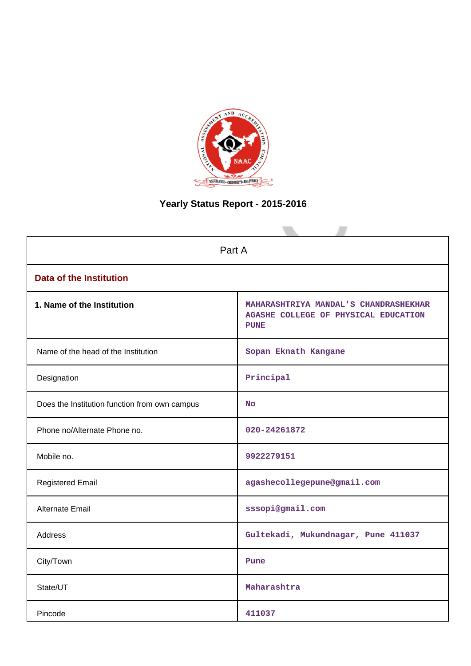

# **Yearly Status Report - 2015-2016**

|                                               | Part A                                                                                       |  |  |  |  |  |  |
|-----------------------------------------------|----------------------------------------------------------------------------------------------|--|--|--|--|--|--|
| <b>Data of the Institution</b>                |                                                                                              |  |  |  |  |  |  |
| 1. Name of the Institution                    | MAHARASHTRIYA MANDAL'S CHANDRASHEKHAR<br>AGASHE COLLEGE OF PHYSICAL EDUCATION<br><b>PUNE</b> |  |  |  |  |  |  |
| Name of the head of the Institution           | Sopan Eknath Kangane                                                                         |  |  |  |  |  |  |
| Designation                                   | Principal                                                                                    |  |  |  |  |  |  |
| Does the Institution function from own campus | <b>No</b>                                                                                    |  |  |  |  |  |  |
| Phone no/Alternate Phone no.                  | 020-24261872                                                                                 |  |  |  |  |  |  |
| Mobile no.                                    | 9922279151                                                                                   |  |  |  |  |  |  |
| <b>Registered Email</b>                       | agashecollegepune@gmail.com                                                                  |  |  |  |  |  |  |
| <b>Alternate Email</b>                        | sssopi@gmail.com                                                                             |  |  |  |  |  |  |
| <b>Address</b>                                | Gultekadi, Mukundnagar, Pune 411037                                                          |  |  |  |  |  |  |
| City/Town                                     | Pune                                                                                         |  |  |  |  |  |  |
| State/UT                                      | Maharashtra                                                                                  |  |  |  |  |  |  |
| Pincode                                       | 411037                                                                                       |  |  |  |  |  |  |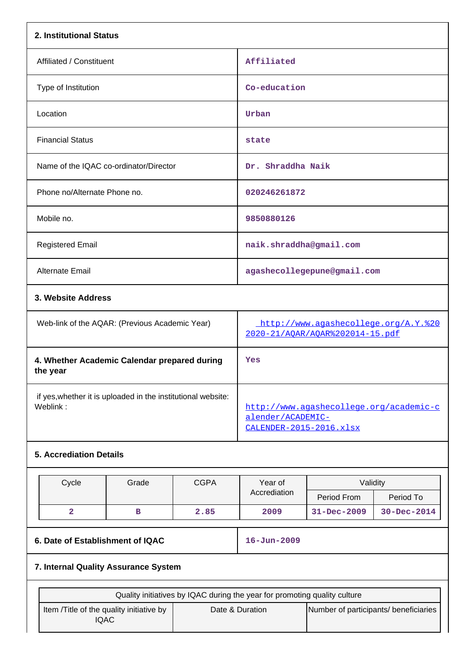| 2. Institutional Status                                                  |                                                                           |             |                                                                                         |                             |           |  |  |
|--------------------------------------------------------------------------|---------------------------------------------------------------------------|-------------|-----------------------------------------------------------------------------------------|-----------------------------|-----------|--|--|
| Affiliated / Constituent                                                 |                                                                           |             | Affiliated                                                                              |                             |           |  |  |
| Type of Institution                                                      |                                                                           |             | Co-education                                                                            |                             |           |  |  |
| Location                                                                 |                                                                           |             | Urban                                                                                   |                             |           |  |  |
| <b>Financial Status</b>                                                  |                                                                           |             | state                                                                                   |                             |           |  |  |
| Name of the IQAC co-ordinator/Director                                   |                                                                           |             | Dr. Shraddha Naik                                                                       |                             |           |  |  |
| Phone no/Alternate Phone no.                                             |                                                                           |             | 020246261872                                                                            |                             |           |  |  |
| Mobile no.                                                               |                                                                           |             | 9850880126                                                                              |                             |           |  |  |
| <b>Registered Email</b>                                                  |                                                                           |             | naik.shraddha@gmail.com                                                                 |                             |           |  |  |
| Alternate Email                                                          |                                                                           |             |                                                                                         | agashecollegepune@gmail.com |           |  |  |
| 3. Website Address                                                       |                                                                           |             |                                                                                         |                             |           |  |  |
| Web-link of the AQAR: (Previous Academic Year)                           |                                                                           |             | http://www.agashecollege.org/A.Y.%20<br>2020-21/AOAR/AOAR%202014-15.pdf                 |                             |           |  |  |
| 4. Whether Academic Calendar prepared during<br>the year                 |                                                                           |             | Yes                                                                                     |                             |           |  |  |
| if yes, whether it is uploaded in the institutional website:<br>Weblink: |                                                                           |             | http://www.agashecollege.org/academic-c<br>alender/ACADEMIC-<br>CALENDER-2015-2016.xlsx |                             |           |  |  |
| <b>5. Accrediation Details</b>                                           |                                                                           |             |                                                                                         |                             |           |  |  |
| Cycle                                                                    | Grade                                                                     | <b>CGPA</b> | Year of                                                                                 | Validity                    |           |  |  |
|                                                                          |                                                                           |             | Accrediation                                                                            | Period From                 | Period To |  |  |
| $\overline{\mathbf{2}}$                                                  | $\, {\bf B}$                                                              | 2.85        | 31-Dec-2009<br>30-Dec-2014<br>2009                                                      |                             |           |  |  |
| 6. Date of Establishment of IQAC                                         |                                                                           |             | $16 - Jun - 2009$                                                                       |                             |           |  |  |
| 7. Internal Quality Assurance System                                     |                                                                           |             |                                                                                         |                             |           |  |  |
|                                                                          | Quality initiatives by IQAC during the year for promoting quality culture |             |                                                                                         |                             |           |  |  |

| Quality initiatives by IQAC during the year for promoting quality culture |                 |                                       |  |  |  |  |
|---------------------------------------------------------------------------|-----------------|---------------------------------------|--|--|--|--|
| Item /Title of the quality initiative by<br>IQAC                          | Date & Duration | Number of participants/ beneficiaries |  |  |  |  |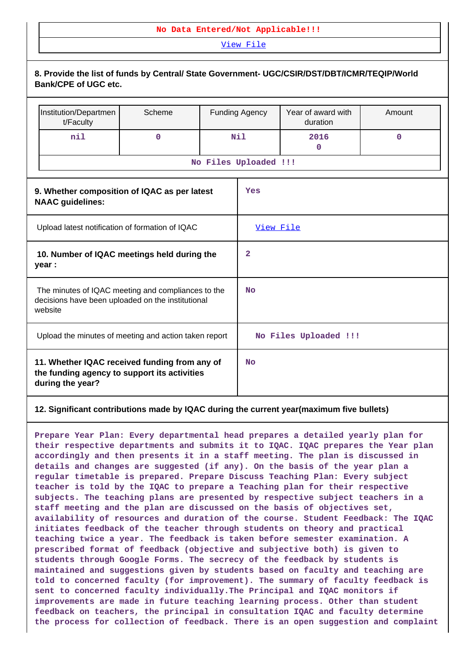#### **No Data Entered/Not Applicable!!!**

[View File](https://assessmentonline.naac.gov.in/public/Postacc/Quality_Initiatives/4679_Quality_Initiatives.pdf)

|                                                                                                                    | 8. Provide the list of funds by Central/ State Government- UGC/CSIR/DST/DBT/ICMR/TEQIP/World<br><b>Bank/CPE of UGC etc.</b> |             |                |                       |                                |             |  |  |
|--------------------------------------------------------------------------------------------------------------------|-----------------------------------------------------------------------------------------------------------------------------|-------------|----------------|-----------------------|--------------------------------|-------------|--|--|
|                                                                                                                    | Institution/Departmen<br>t/Faculty                                                                                          | Scheme      |                | <b>Funding Agency</b> | Year of award with<br>duration | Amount      |  |  |
|                                                                                                                    | nil                                                                                                                         | $\mathbf 0$ |                | Nil                   | 2016<br>$\mathbf 0$            | $\mathbf 0$ |  |  |
|                                                                                                                    |                                                                                                                             |             |                | No Files Uploaded !!! |                                |             |  |  |
|                                                                                                                    | 9. Whether composition of IQAC as per latest<br><b>NAAC</b> guidelines:                                                     |             |                | Yes                   |                                |             |  |  |
| Upload latest notification of formation of IQAC                                                                    |                                                                                                                             |             |                | View File             |                                |             |  |  |
| 10. Number of IQAC meetings held during the<br>year :                                                              |                                                                                                                             |             | $\overline{2}$ |                       |                                |             |  |  |
| The minutes of IQAC meeting and compliances to the<br>decisions have been uploaded on the institutional<br>website |                                                                                                                             |             | No             |                       |                                |             |  |  |
| Upload the minutes of meeting and action taken report                                                              |                                                                                                                             |             |                | No Files Uploaded !!! |                                |             |  |  |
| 11. Whether IQAC received funding from any of<br>the funding agency to support its activities<br>during the year?  |                                                                                                                             |             | <b>No</b>      |                       |                                |             |  |  |

#### **12. Significant contributions made by IQAC during the current year(maximum five bullets)**

**Prepare Year Plan: Every departmental head prepares a detailed yearly plan for their respective departments and submits it to IQAC. IQAC prepares the Year plan accordingly and then presents it in a staff meeting. The plan is discussed in details and changes are suggested (if any). On the basis of the year plan a regular timetable is prepared. Prepare Discuss Teaching Plan: Every subject teacher is told by the IQAC to prepare a Teaching plan for their respective subjects. The teaching plans are presented by respective subject teachers in a staff meeting and the plan are discussed on the basis of objectives set, availability of resources and duration of the course. Student Feedback: The IQAC initiates feedback of the teacher through students on theory and practical teaching twice a year. The feedback is taken before semester examination. A prescribed format of feedback (objective and subjective both) is given to students through Google Forms. The secrecy of the feedback by students is maintained and suggestions given by students based on faculty and teaching are told to concerned faculty (for improvement). The summary of faculty feedback is sent to concerned faculty individually.The Principal and IQAC monitors if improvements are made in future teaching learning process. Other than student feedback on teachers, the principal in consultation IQAC and faculty determine the process for collection of feedback. There is an open suggestion and complaint**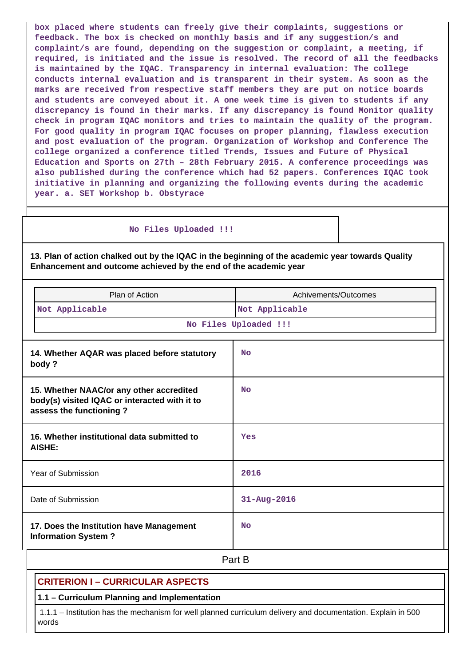**box placed where students can freely give their complaints, suggestions or feedback. The box is checked on monthly basis and if any suggestion/s and complaint/s are found, depending on the suggestion or complaint, a meeting, if required, is initiated and the issue is resolved. The record of all the feedbacks is maintained by the IQAC. Transparency in internal evaluation: The college conducts internal evaluation and is transparent in their system. As soon as the marks are received from respective staff members they are put on notice boards and students are conveyed about it. A one week time is given to students if any discrepancy is found in their marks. If any discrepancy is found Monitor quality check in program IQAC monitors and tries to maintain the quality of the program. For good quality in program IQAC focuses on proper planning, flawless execution and post evaluation of the program. Organization of Workshop and Conference The college organized a conference titled Trends, Issues and Future of Physical Education and Sports on 27th – 28th February 2015. A conference proceedings was also published during the conference which had 52 papers. Conferences IQAC took initiative in planning and organizing the following events during the academic year. a. SET Workshop b. Obstyrace**

#### **No Files Uploaded !!!**

**13. Plan of action chalked out by the IQAC in the beginning of the academic year towards Quality Enhancement and outcome achieved by the end of the academic year**

| Plan of Action                                                                                                       | Achivements/Outcomes  |
|----------------------------------------------------------------------------------------------------------------------|-----------------------|
| Not Applicable                                                                                                       | Not Applicable        |
|                                                                                                                      | No Files Uploaded !!! |
| 14. Whether AQAR was placed before statutory<br>body?                                                                | <b>No</b>             |
| 15. Whether NAAC/or any other accredited<br>body(s) visited IQAC or interacted with it to<br>assess the functioning? | N <sub>O</sub>        |
| 16. Whether institutional data submitted to<br>AISHE:                                                                | Yes                   |
| Year of Submission                                                                                                   | 2016                  |
| Date of Submission                                                                                                   | $31 - Aug - 2016$     |
| 17. Does the Institution have Management<br><b>Information System?</b>                                               | N <sub>O</sub>        |

# **Part B**

#### **CRITERION I – CURRICULAR ASPECTS**

**1.1 – Curriculum Planning and Implementation**

 1.1.1 – Institution has the mechanism for well planned curriculum delivery and documentation. Explain in 500 words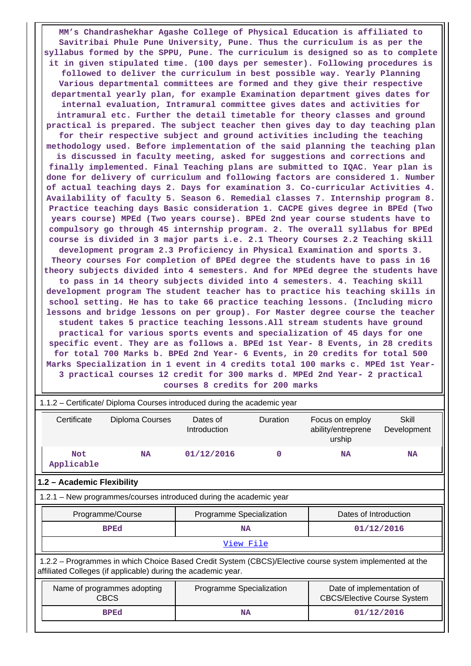**MM's Chandrashekhar Agashe College of Physical Education is affiliated to Savitribai Phule Pune University, Pune. Thus the curriculum is as per the syllabus formed by the SPPU, Pune. The curriculum is designed so as to complete it in given stipulated time. (100 days per semester). Following procedures is followed to deliver the curriculum in best possible way. Yearly Planning Various departmental committees are formed and they give their respective departmental yearly plan, for example Examination department gives dates for internal evaluation, Intramural committee gives dates and activities for intramural etc. Further the detail timetable for theory classes and ground practical is prepared. The subject teacher then gives day to day teaching plan for their respective subject and ground activities including the teaching methodology used. Before implementation of the said planning the teaching plan is discussed in faculty meeting, asked for suggestions and corrections and finally implemented. Final Teaching plans are submitted to IQAC. Year plan is done for delivery of curriculum and following factors are considered 1. Number of actual teaching days 2. Days for examination 3. Co-curricular Activities 4. Availability of faculty 5. Season 6. Remedial classes 7. Internship program 8. Practice teaching days Basic consideration 1. CACPE gives degree in BPEd (Two years course) MPEd (Two years course). BPEd 2nd year course students have to compulsory go through 45 internship program. 2. The overall syllabus for BPEd course is divided in 3 major parts i.e. 2.1 Theory Courses 2.2 Teaching skill development program 2.3 Proficiency in Physical Examination and sports 3. Theory courses For completion of BPEd degree the students have to pass in 16 theory subjects divided into 4 semesters. And for MPEd degree the students have to pass in 14 theory subjects divided into 4 semesters. 4. Teaching skill development program The student teacher has to practice his teaching skills in school setting. He has to take 66 practice teaching lessons. (Including micro lessons and bridge lessons on per group). For Master degree course the teacher student takes 5 practice teaching lessons.All stream students have ground practical for various sports events and specialization of 45 days for one specific event. They are as follows a. BPEd 1st Year- 8 Events, in 28 credits for total 700 Marks b. BPEd 2nd Year- 6 Events, in 20 credits for total 500 Marks Specialization in 1 event in 4 credits total 100 marks c. MPEd 1st Year-3 practical courses 12 credit for 300 marks d. MPEd 2nd Year- 2 practical courses 8 credits for 200 marks**

| 1.1.2 – Certificate/ Diploma Courses introduced during the academic year                                                                                                 |                                            |                          |                                                   |                                                                 |                      |  |  |
|--------------------------------------------------------------------------------------------------------------------------------------------------------------------------|--------------------------------------------|--------------------------|---------------------------------------------------|-----------------------------------------------------------------|----------------------|--|--|
| Certificate<br>Diploma Courses                                                                                                                                           |                                            | Dates of<br>Introduction | Duration<br>Focus on employ<br>ability/entreprene |                                                                 | Skill<br>Development |  |  |
| <b>Not</b><br>Applicable                                                                                                                                                 | <b>NA</b>                                  | 01/12/2016               | $\Omega$                                          | <b>NA</b>                                                       | <b>NA</b>            |  |  |
| 1.2 - Academic Flexibility                                                                                                                                               |                                            |                          |                                                   |                                                                 |                      |  |  |
| 1.2.1 - New programmes/courses introduced during the academic year                                                                                                       |                                            |                          |                                                   |                                                                 |                      |  |  |
|                                                                                                                                                                          | Programme/Course                           | Programme Specialization |                                                   | Dates of Introduction                                           |                      |  |  |
|                                                                                                                                                                          | <b>BPEd</b>                                | <b>NA</b>                |                                                   | 01/12/2016                                                      |                      |  |  |
|                                                                                                                                                                          |                                            | View File                |                                                   |                                                                 |                      |  |  |
| 1.2.2 - Programmes in which Choice Based Credit System (CBCS)/Elective course system implemented at the<br>affiliated Colleges (if applicable) during the academic year. |                                            |                          |                                                   |                                                                 |                      |  |  |
|                                                                                                                                                                          | Name of programmes adopting<br><b>CBCS</b> | Programme Specialization |                                                   | Date of implementation of<br><b>CBCS/Elective Course System</b> |                      |  |  |
|                                                                                                                                                                          | <b>BPEd</b>                                | <b>NA</b>                |                                                   | 01/12/2016                                                      |                      |  |  |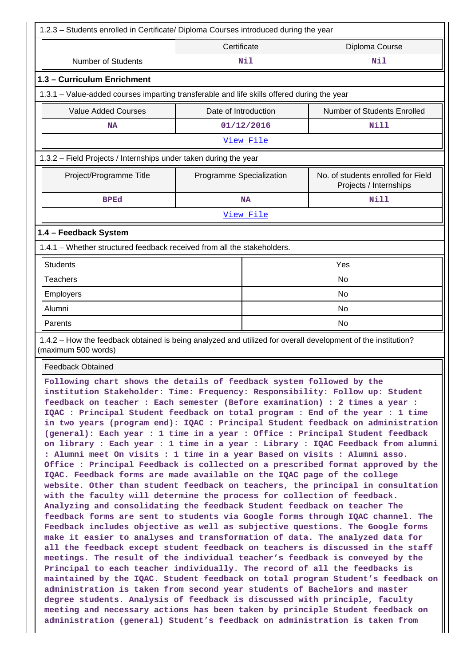| 1.2.3 - Students enrolled in Certificate/ Diploma Courses introduced during the year                                                                                                                                                                                                                                                                                                                                                                                                                                                                                                                                                                                                                                                                                                                                                                                                                                                                                                                                                                                                                                                                                                                                                                                                                                                                                                                                                                                |                          |            |                                                                                                                                                                                                                                                                                                                                                                                                                                                                                                            |  |  |
|---------------------------------------------------------------------------------------------------------------------------------------------------------------------------------------------------------------------------------------------------------------------------------------------------------------------------------------------------------------------------------------------------------------------------------------------------------------------------------------------------------------------------------------------------------------------------------------------------------------------------------------------------------------------------------------------------------------------------------------------------------------------------------------------------------------------------------------------------------------------------------------------------------------------------------------------------------------------------------------------------------------------------------------------------------------------------------------------------------------------------------------------------------------------------------------------------------------------------------------------------------------------------------------------------------------------------------------------------------------------------------------------------------------------------------------------------------------------|--------------------------|------------|------------------------------------------------------------------------------------------------------------------------------------------------------------------------------------------------------------------------------------------------------------------------------------------------------------------------------------------------------------------------------------------------------------------------------------------------------------------------------------------------------------|--|--|
| Certificate<br>Diploma Course                                                                                                                                                                                                                                                                                                                                                                                                                                                                                                                                                                                                                                                                                                                                                                                                                                                                                                                                                                                                                                                                                                                                                                                                                                                                                                                                                                                                                                       |                          |            |                                                                                                                                                                                                                                                                                                                                                                                                                                                                                                            |  |  |
| <b>Number of Students</b>                                                                                                                                                                                                                                                                                                                                                                                                                                                                                                                                                                                                                                                                                                                                                                                                                                                                                                                                                                                                                                                                                                                                                                                                                                                                                                                                                                                                                                           |                          | <b>Nil</b> | Nil                                                                                                                                                                                                                                                                                                                                                                                                                                                                                                        |  |  |
| 1.3 - Curriculum Enrichment                                                                                                                                                                                                                                                                                                                                                                                                                                                                                                                                                                                                                                                                                                                                                                                                                                                                                                                                                                                                                                                                                                                                                                                                                                                                                                                                                                                                                                         |                          |            |                                                                                                                                                                                                                                                                                                                                                                                                                                                                                                            |  |  |
| 1.3.1 - Value-added courses imparting transferable and life skills offered during the year                                                                                                                                                                                                                                                                                                                                                                                                                                                                                                                                                                                                                                                                                                                                                                                                                                                                                                                                                                                                                                                                                                                                                                                                                                                                                                                                                                          |                          |            |                                                                                                                                                                                                                                                                                                                                                                                                                                                                                                            |  |  |
| <b>Value Added Courses</b>                                                                                                                                                                                                                                                                                                                                                                                                                                                                                                                                                                                                                                                                                                                                                                                                                                                                                                                                                                                                                                                                                                                                                                                                                                                                                                                                                                                                                                          | Date of Introduction     |            | Number of Students Enrolled                                                                                                                                                                                                                                                                                                                                                                                                                                                                                |  |  |
| ΝA                                                                                                                                                                                                                                                                                                                                                                                                                                                                                                                                                                                                                                                                                                                                                                                                                                                                                                                                                                                                                                                                                                                                                                                                                                                                                                                                                                                                                                                                  |                          | 01/12/2016 | Nill                                                                                                                                                                                                                                                                                                                                                                                                                                                                                                       |  |  |
|                                                                                                                                                                                                                                                                                                                                                                                                                                                                                                                                                                                                                                                                                                                                                                                                                                                                                                                                                                                                                                                                                                                                                                                                                                                                                                                                                                                                                                                                     |                          | View File  |                                                                                                                                                                                                                                                                                                                                                                                                                                                                                                            |  |  |
| 1.3.2 - Field Projects / Internships under taken during the year                                                                                                                                                                                                                                                                                                                                                                                                                                                                                                                                                                                                                                                                                                                                                                                                                                                                                                                                                                                                                                                                                                                                                                                                                                                                                                                                                                                                    |                          |            |                                                                                                                                                                                                                                                                                                                                                                                                                                                                                                            |  |  |
| Project/Programme Title                                                                                                                                                                                                                                                                                                                                                                                                                                                                                                                                                                                                                                                                                                                                                                                                                                                                                                                                                                                                                                                                                                                                                                                                                                                                                                                                                                                                                                             | Programme Specialization |            | No. of students enrolled for Field<br>Projects / Internships                                                                                                                                                                                                                                                                                                                                                                                                                                               |  |  |
| <b>BPEd</b>                                                                                                                                                                                                                                                                                                                                                                                                                                                                                                                                                                                                                                                                                                                                                                                                                                                                                                                                                                                                                                                                                                                                                                                                                                                                                                                                                                                                                                                         |                          | <b>NA</b>  | <b>Nill</b>                                                                                                                                                                                                                                                                                                                                                                                                                                                                                                |  |  |
|                                                                                                                                                                                                                                                                                                                                                                                                                                                                                                                                                                                                                                                                                                                                                                                                                                                                                                                                                                                                                                                                                                                                                                                                                                                                                                                                                                                                                                                                     |                          | View File  |                                                                                                                                                                                                                                                                                                                                                                                                                                                                                                            |  |  |
| 1.4 - Feedback System                                                                                                                                                                                                                                                                                                                                                                                                                                                                                                                                                                                                                                                                                                                                                                                                                                                                                                                                                                                                                                                                                                                                                                                                                                                                                                                                                                                                                                               |                          |            |                                                                                                                                                                                                                                                                                                                                                                                                                                                                                                            |  |  |
| 1.4.1 - Whether structured feedback received from all the stakeholders.                                                                                                                                                                                                                                                                                                                                                                                                                                                                                                                                                                                                                                                                                                                                                                                                                                                                                                                                                                                                                                                                                                                                                                                                                                                                                                                                                                                             |                          |            |                                                                                                                                                                                                                                                                                                                                                                                                                                                                                                            |  |  |
| <b>Students</b>                                                                                                                                                                                                                                                                                                                                                                                                                                                                                                                                                                                                                                                                                                                                                                                                                                                                                                                                                                                                                                                                                                                                                                                                                                                                                                                                                                                                                                                     |                          |            | Yes                                                                                                                                                                                                                                                                                                                                                                                                                                                                                                        |  |  |
| <b>Teachers</b>                                                                                                                                                                                                                                                                                                                                                                                                                                                                                                                                                                                                                                                                                                                                                                                                                                                                                                                                                                                                                                                                                                                                                                                                                                                                                                                                                                                                                                                     |                          |            | No                                                                                                                                                                                                                                                                                                                                                                                                                                                                                                         |  |  |
| Employers                                                                                                                                                                                                                                                                                                                                                                                                                                                                                                                                                                                                                                                                                                                                                                                                                                                                                                                                                                                                                                                                                                                                                                                                                                                                                                                                                                                                                                                           |                          | No         |                                                                                                                                                                                                                                                                                                                                                                                                                                                                                                            |  |  |
| Alumni                                                                                                                                                                                                                                                                                                                                                                                                                                                                                                                                                                                                                                                                                                                                                                                                                                                                                                                                                                                                                                                                                                                                                                                                                                                                                                                                                                                                                                                              |                          | No         |                                                                                                                                                                                                                                                                                                                                                                                                                                                                                                            |  |  |
| Parents                                                                                                                                                                                                                                                                                                                                                                                                                                                                                                                                                                                                                                                                                                                                                                                                                                                                                                                                                                                                                                                                                                                                                                                                                                                                                                                                                                                                                                                             |                          | No         |                                                                                                                                                                                                                                                                                                                                                                                                                                                                                                            |  |  |
| 1.4.2 - How the feedback obtained is being analyzed and utilized for overall development of the institution?<br>(maximum 500 words)                                                                                                                                                                                                                                                                                                                                                                                                                                                                                                                                                                                                                                                                                                                                                                                                                                                                                                                                                                                                                                                                                                                                                                                                                                                                                                                                 |                          |            |                                                                                                                                                                                                                                                                                                                                                                                                                                                                                                            |  |  |
| <b>Feedback Obtained</b>                                                                                                                                                                                                                                                                                                                                                                                                                                                                                                                                                                                                                                                                                                                                                                                                                                                                                                                                                                                                                                                                                                                                                                                                                                                                                                                                                                                                                                            |                          |            |                                                                                                                                                                                                                                                                                                                                                                                                                                                                                                            |  |  |
| Following chart shows the details of feedback system followed by the<br>institution Stakeholder: Time: Frequency: Responsibility: Follow up: Student<br>feedback on teacher : Each semester (Before examination) : 2 times a year :<br>IQAC : Principal Student feedback on total program : End of the year : 1 time<br>(general): Each year : 1 time in a year : Office : Principal Student feedback<br>: Alumni meet On visits : 1 time in a year Based on visits : Alumni asso.<br>IQAC. Feedback forms are made available on the IQAC page of the college<br>with the faculty will determine the process for collection of feedback.<br>Analyzing and consolidating the feedback Student feedback on teacher The<br>feedback forms are sent to students via Google forms through IQAC channel. The<br>Feedback includes objective as well as subjective questions. The Google forms<br>make it easier to analyses and transformation of data. The analyzed data for<br>all the feedback except student feedback on teachers is discussed in the staff<br>meetings. The result of the individual teacher's feedback is conveyed by the<br>Principal to each teacher individually. The record of all the feedbacks is<br>administration is taken from second year students of Bachelors and master<br>degree students. Analysis of feedback is discussed with principle, faculty<br>meeting and necessary actions has been taken by principle Student feedback on |                          |            | in two years (program end): IQAC : Principal Student feedback on administration<br>on library : Each year : 1 time in a year : Library : IQAC Feedback from alumni<br>Office : Principal Feedback is collected on a prescribed format approved by the<br>website. Other than student feedback on teachers, the principal in consultation<br>maintained by the IQAC. Student feedback on total program Student's feedback on<br>administration (general) Student's feedback on administration is taken from |  |  |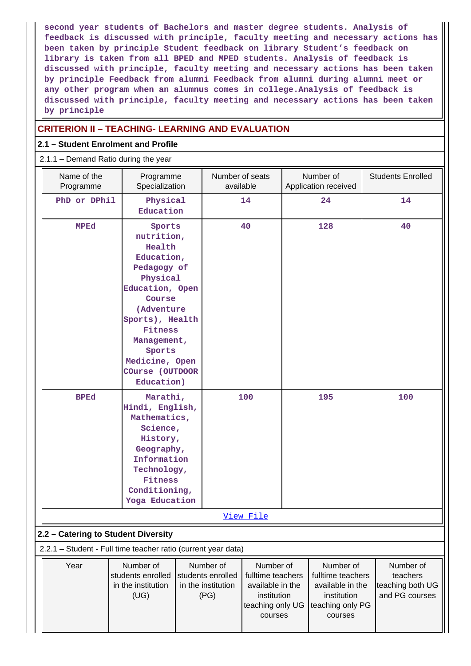**second year students of Bachelors and master degree students. Analysis of feedback is discussed with principle, faculty meeting and necessary actions has been taken by principle Student feedback on library Student's feedback on library is taken from all BPED and MPED students. Analysis of feedback is discussed with principle, faculty meeting and necessary actions has been taken by principle Feedback from alumni Feedback from alumni during alumni meet or any other program when an alumnus comes in college.Analysis of feedback is discussed with principle, faculty meeting and necessary actions has been taken by principle**

# **CRITERION II – TEACHING- LEARNING AND EVALUATION**

(UG)

(PG)

institution

courses

teaching only UG | teaching only PG

institution

and PG courses

courses

### **2.1 – Student Enrolment and Profile**

#### 2.1.1 – Demand Ratio during the year

| Name of the<br>Programme                                      | Programme<br>Specialization                                                                                                                                                                                                  | Number of seats<br>available                         |                                                    | Number of<br>Application received                  | <b>Students Enrolled</b>                  |
|---------------------------------------------------------------|------------------------------------------------------------------------------------------------------------------------------------------------------------------------------------------------------------------------------|------------------------------------------------------|----------------------------------------------------|----------------------------------------------------|-------------------------------------------|
| PhD or DPhil                                                  | Physical<br>Education                                                                                                                                                                                                        |                                                      | 14                                                 | 24                                                 | 14                                        |
| <b>MPEd</b>                                                   | Sports<br>nutrition,<br>Health<br>Education,<br>Pedagogy of<br>Physical<br>Education, Open<br>Course<br>(Adventure<br>Sports), Health<br>Fitness<br>Management,<br>Sports<br>Medicine, Open<br>COurse (OUTDOOR<br>Education) |                                                      | 40                                                 | 128                                                | 40                                        |
| <b>BPEd</b>                                                   | Marathi,<br>Hindi, English,<br>Mathematics,<br>Science,<br>History,<br>Geography,<br>Information<br>Technology,<br>Fitness<br>Conditioning,<br>Yoga Education                                                                | 100<br>View File                                     |                                                    | 195                                                | 100                                       |
| 2.2 - Catering to Student Diversity                           |                                                                                                                                                                                                                              |                                                      |                                                    |                                                    |                                           |
| 2.2.1 - Student - Full time teacher ratio (current year data) |                                                                                                                                                                                                                              |                                                      |                                                    |                                                    |                                           |
| Year                                                          | Number of<br>students enrolled<br>in the institution                                                                                                                                                                         | Number of<br>students enrolled<br>in the institution | Number of<br>fulltime teachers<br>available in the | Number of<br>fulltime teachers<br>available in the | Number of<br>teachers<br>teaching both UG |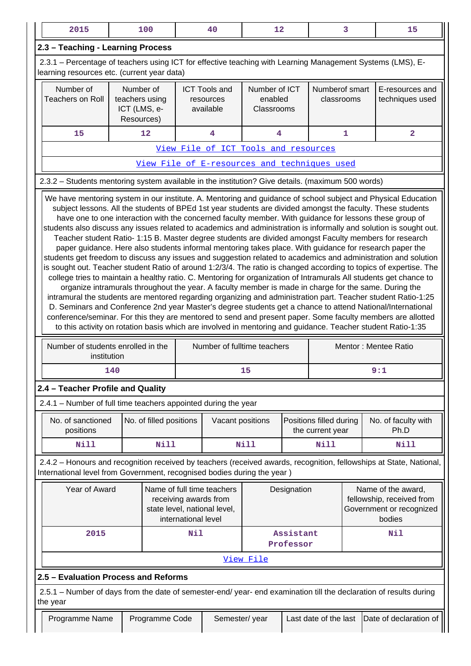| 2.3 - Teaching - Learning Process<br>2.3.1 – Percentage of teachers using ICT for effective teaching with Learning Management Systems (LMS), E-<br>learning resources etc. (current year data)<br>Number of<br>Number of<br>Number of ICT<br>Numberof smart<br><b>ICT Tools and</b><br>E-resources and<br><b>Teachers on Roll</b><br>teachers using<br>enabled<br>techniques used<br>classrooms<br>resources<br>ICT (LMS, e-<br>available<br>Classrooms<br>Resources)<br>12<br>4<br>$\overline{\mathbf{4}}$<br>$\mathbf{1}$<br>$\overline{\mathbf{2}}$<br>15<br>View File of ICT Tools and resources<br>View File of E-resources and techniques used<br>2.3.2 - Students mentoring system available in the institution? Give details. (maximum 500 words)<br>We have mentoring system in our institute. A. Mentoring and guidance of school subject and Physical Education<br>subject lessons. All the students of BPEd 1st year students are divided amongst the faculty. These students<br>have one to one interaction with the concerned faculty member. With guidance for lessons these group of<br>students also discuss any issues related to academics and administration is informally and solution is sought out.<br>Teacher student Ratio- 1:15 B. Master degree students are divided amongst Faculty members for research<br>paper guidance. Here also students informal mentoring takes place. With guidance for research paper the<br>students get freedom to discuss any issues and suggestion related to academics and administration and solution<br>is sought out. Teacher student Ratio of around 1:2/3/4. The ratio is changed according to topics of expertise. The<br>college tries to maintain a healthy ratio. C. Mentoring for organization of Intramurals All students get chance to<br>organize intramurals throughout the year. A faculty member is made in charge for the same. During the<br>intramural the students are mentored regarding organizing and administration part. Teacher student Ratio-1:25<br>D. Seminars and Conference 2nd year Master's degree students get a chance to attend National/International<br>conference/seminar. For this they are mentored to send and present paper. Some faculty members are allotted<br>to this activity on rotation basis which are involved in mentoring and guidance. Teacher student Ratio-1:35<br>Number of students enrolled in the<br>Number of fulltime teachers<br>Mentor: Mentee Ratio<br>institution<br>9:1<br>140<br>15<br>2.4 - Teacher Profile and Quality<br>2.4.1 - Number of full time teachers appointed during the year<br>No. of sanctioned<br>No. of faculty with<br>No. of filled positions<br>Vacant positions<br>Positions filled during<br>Ph.D<br>positions<br>the current year<br><b>Nill</b><br>Nill<br>Nill<br>Nill<br>Nill<br>2.4.2 - Honours and recognition received by teachers (received awards, recognition, fellowships at State, National,<br>International level from Government, recognised bodies during the year)<br>Year of Award<br>Name of full time teachers<br>Name of the award,<br>Designation<br>fellowship, received from<br>receiving awards from<br>Government or recognized<br>state level, national level,<br>international level<br>bodies<br>2015<br>Assistant<br>Nil<br>Nil<br>Professor<br>View File<br>2.5 - Evaluation Process and Reforms<br>2.5.1 – Number of days from the date of semester-end/ year- end examination till the declaration of results during<br>the year<br>Date of declaration of<br>Programme Name<br>Programme Code<br>Semester/year<br>Last date of the last | 2015 |  | 100 |  | 40 | 12 |  |  | 3 | 15 |
|----------------------------------------------------------------------------------------------------------------------------------------------------------------------------------------------------------------------------------------------------------------------------------------------------------------------------------------------------------------------------------------------------------------------------------------------------------------------------------------------------------------------------------------------------------------------------------------------------------------------------------------------------------------------------------------------------------------------------------------------------------------------------------------------------------------------------------------------------------------------------------------------------------------------------------------------------------------------------------------------------------------------------------------------------------------------------------------------------------------------------------------------------------------------------------------------------------------------------------------------------------------------------------------------------------------------------------------------------------------------------------------------------------------------------------------------------------------------------------------------------------------------------------------------------------------------------------------------------------------------------------------------------------------------------------------------------------------------------------------------------------------------------------------------------------------------------------------------------------------------------------------------------------------------------------------------------------------------------------------------------------------------------------------------------------------------------------------------------------------------------------------------------------------------------------------------------------------------------------------------------------------------------------------------------------------------------------------------------------------------------------------------------------------------------------------------------------------------------------------------------------------------------------------------------------------------------------------------------------------------------------------------------------------------------------------------------------------------------------------------------------------------------------------------------------------------------------------------------------------------------------------------------------------------------------------------------------------------------------------------------------------------------------------------------------------------------------------------------------------------------------------------------------------------------------------------------------------------------------------------------------------------------------------------------------------------------------------------------------------------------------------------------------------------------------------------------------------------------------------------------------------------------------------------------------------------------------------------------------------------------------|------|--|-----|--|----|----|--|--|---|----|
|                                                                                                                                                                                                                                                                                                                                                                                                                                                                                                                                                                                                                                                                                                                                                                                                                                                                                                                                                                                                                                                                                                                                                                                                                                                                                                                                                                                                                                                                                                                                                                                                                                                                                                                                                                                                                                                                                                                                                                                                                                                                                                                                                                                                                                                                                                                                                                                                                                                                                                                                                                                                                                                                                                                                                                                                                                                                                                                                                                                                                                                                                                                                                                                                                                                                                                                                                                                                                                                                                                                                                                                                                                  |      |  |     |  |    |    |  |  |   |    |
|                                                                                                                                                                                                                                                                                                                                                                                                                                                                                                                                                                                                                                                                                                                                                                                                                                                                                                                                                                                                                                                                                                                                                                                                                                                                                                                                                                                                                                                                                                                                                                                                                                                                                                                                                                                                                                                                                                                                                                                                                                                                                                                                                                                                                                                                                                                                                                                                                                                                                                                                                                                                                                                                                                                                                                                                                                                                                                                                                                                                                                                                                                                                                                                                                                                                                                                                                                                                                                                                                                                                                                                                                                  |      |  |     |  |    |    |  |  |   |    |
|                                                                                                                                                                                                                                                                                                                                                                                                                                                                                                                                                                                                                                                                                                                                                                                                                                                                                                                                                                                                                                                                                                                                                                                                                                                                                                                                                                                                                                                                                                                                                                                                                                                                                                                                                                                                                                                                                                                                                                                                                                                                                                                                                                                                                                                                                                                                                                                                                                                                                                                                                                                                                                                                                                                                                                                                                                                                                                                                                                                                                                                                                                                                                                                                                                                                                                                                                                                                                                                                                                                                                                                                                                  |      |  |     |  |    |    |  |  |   |    |
|                                                                                                                                                                                                                                                                                                                                                                                                                                                                                                                                                                                                                                                                                                                                                                                                                                                                                                                                                                                                                                                                                                                                                                                                                                                                                                                                                                                                                                                                                                                                                                                                                                                                                                                                                                                                                                                                                                                                                                                                                                                                                                                                                                                                                                                                                                                                                                                                                                                                                                                                                                                                                                                                                                                                                                                                                                                                                                                                                                                                                                                                                                                                                                                                                                                                                                                                                                                                                                                                                                                                                                                                                                  |      |  |     |  |    |    |  |  |   |    |
|                                                                                                                                                                                                                                                                                                                                                                                                                                                                                                                                                                                                                                                                                                                                                                                                                                                                                                                                                                                                                                                                                                                                                                                                                                                                                                                                                                                                                                                                                                                                                                                                                                                                                                                                                                                                                                                                                                                                                                                                                                                                                                                                                                                                                                                                                                                                                                                                                                                                                                                                                                                                                                                                                                                                                                                                                                                                                                                                                                                                                                                                                                                                                                                                                                                                                                                                                                                                                                                                                                                                                                                                                                  |      |  |     |  |    |    |  |  |   |    |
|                                                                                                                                                                                                                                                                                                                                                                                                                                                                                                                                                                                                                                                                                                                                                                                                                                                                                                                                                                                                                                                                                                                                                                                                                                                                                                                                                                                                                                                                                                                                                                                                                                                                                                                                                                                                                                                                                                                                                                                                                                                                                                                                                                                                                                                                                                                                                                                                                                                                                                                                                                                                                                                                                                                                                                                                                                                                                                                                                                                                                                                                                                                                                                                                                                                                                                                                                                                                                                                                                                                                                                                                                                  |      |  |     |  |    |    |  |  |   |    |
|                                                                                                                                                                                                                                                                                                                                                                                                                                                                                                                                                                                                                                                                                                                                                                                                                                                                                                                                                                                                                                                                                                                                                                                                                                                                                                                                                                                                                                                                                                                                                                                                                                                                                                                                                                                                                                                                                                                                                                                                                                                                                                                                                                                                                                                                                                                                                                                                                                                                                                                                                                                                                                                                                                                                                                                                                                                                                                                                                                                                                                                                                                                                                                                                                                                                                                                                                                                                                                                                                                                                                                                                                                  |      |  |     |  |    |    |  |  |   |    |
|                                                                                                                                                                                                                                                                                                                                                                                                                                                                                                                                                                                                                                                                                                                                                                                                                                                                                                                                                                                                                                                                                                                                                                                                                                                                                                                                                                                                                                                                                                                                                                                                                                                                                                                                                                                                                                                                                                                                                                                                                                                                                                                                                                                                                                                                                                                                                                                                                                                                                                                                                                                                                                                                                                                                                                                                                                                                                                                                                                                                                                                                                                                                                                                                                                                                                                                                                                                                                                                                                                                                                                                                                                  |      |  |     |  |    |    |  |  |   |    |
|                                                                                                                                                                                                                                                                                                                                                                                                                                                                                                                                                                                                                                                                                                                                                                                                                                                                                                                                                                                                                                                                                                                                                                                                                                                                                                                                                                                                                                                                                                                                                                                                                                                                                                                                                                                                                                                                                                                                                                                                                                                                                                                                                                                                                                                                                                                                                                                                                                                                                                                                                                                                                                                                                                                                                                                                                                                                                                                                                                                                                                                                                                                                                                                                                                                                                                                                                                                                                                                                                                                                                                                                                                  |      |  |     |  |    |    |  |  |   |    |
|                                                                                                                                                                                                                                                                                                                                                                                                                                                                                                                                                                                                                                                                                                                                                                                                                                                                                                                                                                                                                                                                                                                                                                                                                                                                                                                                                                                                                                                                                                                                                                                                                                                                                                                                                                                                                                                                                                                                                                                                                                                                                                                                                                                                                                                                                                                                                                                                                                                                                                                                                                                                                                                                                                                                                                                                                                                                                                                                                                                                                                                                                                                                                                                                                                                                                                                                                                                                                                                                                                                                                                                                                                  |      |  |     |  |    |    |  |  |   |    |
|                                                                                                                                                                                                                                                                                                                                                                                                                                                                                                                                                                                                                                                                                                                                                                                                                                                                                                                                                                                                                                                                                                                                                                                                                                                                                                                                                                                                                                                                                                                                                                                                                                                                                                                                                                                                                                                                                                                                                                                                                                                                                                                                                                                                                                                                                                                                                                                                                                                                                                                                                                                                                                                                                                                                                                                                                                                                                                                                                                                                                                                                                                                                                                                                                                                                                                                                                                                                                                                                                                                                                                                                                                  |      |  |     |  |    |    |  |  |   |    |
|                                                                                                                                                                                                                                                                                                                                                                                                                                                                                                                                                                                                                                                                                                                                                                                                                                                                                                                                                                                                                                                                                                                                                                                                                                                                                                                                                                                                                                                                                                                                                                                                                                                                                                                                                                                                                                                                                                                                                                                                                                                                                                                                                                                                                                                                                                                                                                                                                                                                                                                                                                                                                                                                                                                                                                                                                                                                                                                                                                                                                                                                                                                                                                                                                                                                                                                                                                                                                                                                                                                                                                                                                                  |      |  |     |  |    |    |  |  |   |    |
|                                                                                                                                                                                                                                                                                                                                                                                                                                                                                                                                                                                                                                                                                                                                                                                                                                                                                                                                                                                                                                                                                                                                                                                                                                                                                                                                                                                                                                                                                                                                                                                                                                                                                                                                                                                                                                                                                                                                                                                                                                                                                                                                                                                                                                                                                                                                                                                                                                                                                                                                                                                                                                                                                                                                                                                                                                                                                                                                                                                                                                                                                                                                                                                                                                                                                                                                                                                                                                                                                                                                                                                                                                  |      |  |     |  |    |    |  |  |   |    |
|                                                                                                                                                                                                                                                                                                                                                                                                                                                                                                                                                                                                                                                                                                                                                                                                                                                                                                                                                                                                                                                                                                                                                                                                                                                                                                                                                                                                                                                                                                                                                                                                                                                                                                                                                                                                                                                                                                                                                                                                                                                                                                                                                                                                                                                                                                                                                                                                                                                                                                                                                                                                                                                                                                                                                                                                                                                                                                                                                                                                                                                                                                                                                                                                                                                                                                                                                                                                                                                                                                                                                                                                                                  |      |  |     |  |    |    |  |  |   |    |
|                                                                                                                                                                                                                                                                                                                                                                                                                                                                                                                                                                                                                                                                                                                                                                                                                                                                                                                                                                                                                                                                                                                                                                                                                                                                                                                                                                                                                                                                                                                                                                                                                                                                                                                                                                                                                                                                                                                                                                                                                                                                                                                                                                                                                                                                                                                                                                                                                                                                                                                                                                                                                                                                                                                                                                                                                                                                                                                                                                                                                                                                                                                                                                                                                                                                                                                                                                                                                                                                                                                                                                                                                                  |      |  |     |  |    |    |  |  |   |    |
|                                                                                                                                                                                                                                                                                                                                                                                                                                                                                                                                                                                                                                                                                                                                                                                                                                                                                                                                                                                                                                                                                                                                                                                                                                                                                                                                                                                                                                                                                                                                                                                                                                                                                                                                                                                                                                                                                                                                                                                                                                                                                                                                                                                                                                                                                                                                                                                                                                                                                                                                                                                                                                                                                                                                                                                                                                                                                                                                                                                                                                                                                                                                                                                                                                                                                                                                                                                                                                                                                                                                                                                                                                  |      |  |     |  |    |    |  |  |   |    |
|                                                                                                                                                                                                                                                                                                                                                                                                                                                                                                                                                                                                                                                                                                                                                                                                                                                                                                                                                                                                                                                                                                                                                                                                                                                                                                                                                                                                                                                                                                                                                                                                                                                                                                                                                                                                                                                                                                                                                                                                                                                                                                                                                                                                                                                                                                                                                                                                                                                                                                                                                                                                                                                                                                                                                                                                                                                                                                                                                                                                                                                                                                                                                                                                                                                                                                                                                                                                                                                                                                                                                                                                                                  |      |  |     |  |    |    |  |  |   |    |
|                                                                                                                                                                                                                                                                                                                                                                                                                                                                                                                                                                                                                                                                                                                                                                                                                                                                                                                                                                                                                                                                                                                                                                                                                                                                                                                                                                                                                                                                                                                                                                                                                                                                                                                                                                                                                                                                                                                                                                                                                                                                                                                                                                                                                                                                                                                                                                                                                                                                                                                                                                                                                                                                                                                                                                                                                                                                                                                                                                                                                                                                                                                                                                                                                                                                                                                                                                                                                                                                                                                                                                                                                                  |      |  |     |  |    |    |  |  |   |    |
|                                                                                                                                                                                                                                                                                                                                                                                                                                                                                                                                                                                                                                                                                                                                                                                                                                                                                                                                                                                                                                                                                                                                                                                                                                                                                                                                                                                                                                                                                                                                                                                                                                                                                                                                                                                                                                                                                                                                                                                                                                                                                                                                                                                                                                                                                                                                                                                                                                                                                                                                                                                                                                                                                                                                                                                                                                                                                                                                                                                                                                                                                                                                                                                                                                                                                                                                                                                                                                                                                                                                                                                                                                  |      |  |     |  |    |    |  |  |   |    |
|                                                                                                                                                                                                                                                                                                                                                                                                                                                                                                                                                                                                                                                                                                                                                                                                                                                                                                                                                                                                                                                                                                                                                                                                                                                                                                                                                                                                                                                                                                                                                                                                                                                                                                                                                                                                                                                                                                                                                                                                                                                                                                                                                                                                                                                                                                                                                                                                                                                                                                                                                                                                                                                                                                                                                                                                                                                                                                                                                                                                                                                                                                                                                                                                                                                                                                                                                                                                                                                                                                                                                                                                                                  |      |  |     |  |    |    |  |  |   |    |
|                                                                                                                                                                                                                                                                                                                                                                                                                                                                                                                                                                                                                                                                                                                                                                                                                                                                                                                                                                                                                                                                                                                                                                                                                                                                                                                                                                                                                                                                                                                                                                                                                                                                                                                                                                                                                                                                                                                                                                                                                                                                                                                                                                                                                                                                                                                                                                                                                                                                                                                                                                                                                                                                                                                                                                                                                                                                                                                                                                                                                                                                                                                                                                                                                                                                                                                                                                                                                                                                                                                                                                                                                                  |      |  |     |  |    |    |  |  |   |    |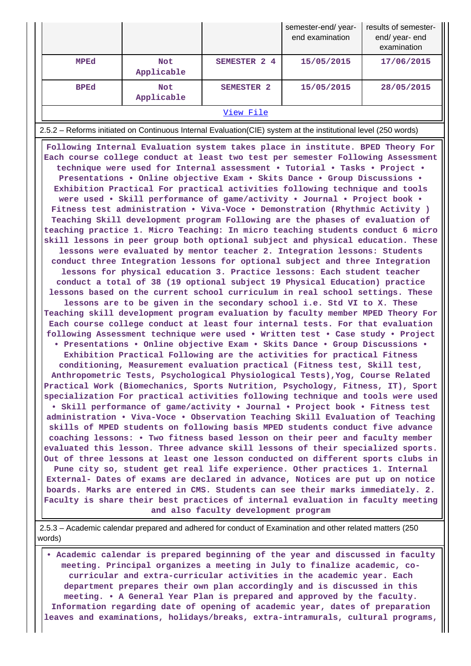|                                                                                                                                                                                                                                                                                                                                                                                                                                                                                                                                                                                                                                                                                                                                                                                                                                                                                                                                                                                                                                                                                                                                                                                                                                                                                                                                                                                                                                                                                                                                                                                                                                                                                                                                                                                                                                                                                                                                                                                                                                                                                                                                                                                                                                                                                                                                                                                                                                                                                                                                                                                                                                                                                                                                                                                                                                                                                                                                                       |                          |                                      | semester-end/year-<br>end examination | results of semester-<br>end/ year- end<br>examination |  |  |
|-------------------------------------------------------------------------------------------------------------------------------------------------------------------------------------------------------------------------------------------------------------------------------------------------------------------------------------------------------------------------------------------------------------------------------------------------------------------------------------------------------------------------------------------------------------------------------------------------------------------------------------------------------------------------------------------------------------------------------------------------------------------------------------------------------------------------------------------------------------------------------------------------------------------------------------------------------------------------------------------------------------------------------------------------------------------------------------------------------------------------------------------------------------------------------------------------------------------------------------------------------------------------------------------------------------------------------------------------------------------------------------------------------------------------------------------------------------------------------------------------------------------------------------------------------------------------------------------------------------------------------------------------------------------------------------------------------------------------------------------------------------------------------------------------------------------------------------------------------------------------------------------------------------------------------------------------------------------------------------------------------------------------------------------------------------------------------------------------------------------------------------------------------------------------------------------------------------------------------------------------------------------------------------------------------------------------------------------------------------------------------------------------------------------------------------------------------------------------------------------------------------------------------------------------------------------------------------------------------------------------------------------------------------------------------------------------------------------------------------------------------------------------------------------------------------------------------------------------------------------------------------------------------------------------------------------------------|--------------------------|--------------------------------------|---------------------------------------|-------------------------------------------------------|--|--|
| MPEd                                                                                                                                                                                                                                                                                                                                                                                                                                                                                                                                                                                                                                                                                                                                                                                                                                                                                                                                                                                                                                                                                                                                                                                                                                                                                                                                                                                                                                                                                                                                                                                                                                                                                                                                                                                                                                                                                                                                                                                                                                                                                                                                                                                                                                                                                                                                                                                                                                                                                                                                                                                                                                                                                                                                                                                                                                                                                                                                                  | <b>Not</b><br>Applicable | SEMESTER 2 4                         | 15/05/2015                            | 17/06/2015                                            |  |  |
| <b>BPEd</b>                                                                                                                                                                                                                                                                                                                                                                                                                                                                                                                                                                                                                                                                                                                                                                                                                                                                                                                                                                                                                                                                                                                                                                                                                                                                                                                                                                                                                                                                                                                                                                                                                                                                                                                                                                                                                                                                                                                                                                                                                                                                                                                                                                                                                                                                                                                                                                                                                                                                                                                                                                                                                                                                                                                                                                                                                                                                                                                                           | <b>Not</b><br>Applicable | SEMESTER <sub>2</sub>                | 15/05/2015                            | 28/05/2015                                            |  |  |
|                                                                                                                                                                                                                                                                                                                                                                                                                                                                                                                                                                                                                                                                                                                                                                                                                                                                                                                                                                                                                                                                                                                                                                                                                                                                                                                                                                                                                                                                                                                                                                                                                                                                                                                                                                                                                                                                                                                                                                                                                                                                                                                                                                                                                                                                                                                                                                                                                                                                                                                                                                                                                                                                                                                                                                                                                                                                                                                                                       |                          | View File                            |                                       |                                                       |  |  |
|                                                                                                                                                                                                                                                                                                                                                                                                                                                                                                                                                                                                                                                                                                                                                                                                                                                                                                                                                                                                                                                                                                                                                                                                                                                                                                                                                                                                                                                                                                                                                                                                                                                                                                                                                                                                                                                                                                                                                                                                                                                                                                                                                                                                                                                                                                                                                                                                                                                                                                                                                                                                                                                                                                                                                                                                                                                                                                                                                       |                          |                                      |                                       |                                                       |  |  |
| 2.5.2 – Reforms initiated on Continuous Internal Evaluation (CIE) system at the institutional level (250 words)<br>Following Internal Evaluation system takes place in institute. BPED Theory For<br>Each course college conduct at least two test per semester Following Assessment<br>technique were used for Internal assessment . Tutorial . Tasks . Project .<br>Presentations . Online objective Exam . Skits Dance . Group Discussions .<br>Exhibition Practical For practical activities following technique and tools<br>were used . Skill performance of game/activity . Journal . Project book .<br>Fitness test administration . Viva-Voce . Demonstration (Rhythmic Activity )<br>Teaching Skill development program Following are the phases of evaluation of<br>teaching practice 1. Micro Teaching: In micro teaching students conduct 6 micro<br>skill lessons in peer group both optional subject and physical education. These<br>lessons were evaluated by mentor teacher 2. Integration lessons: Students<br>conduct three Integration lessons for optional subject and three Integration<br>lessons for physical education 3. Practice lessons: Each student teacher<br>conduct a total of 38 (19 optional subject 19 Physical Education) practice<br>lessons based on the current school curriculum in real school settings. These<br>lessons are to be given in the secondary school i.e. Std VI to X. These<br>Teaching skill development program evaluation by faculty member MPED Theory For<br>Each course college conduct at least four internal tests. For that evaluation<br>following Assessment technique were used . Written test . Case study . Project<br>• Presentations • Online objective Exam • Skits Dance • Group Discussions •<br>Exhibition Practical Following are the activities for practical Fitness<br>conditioning, Measurement evaluation practical (Fitness test, Skill test,<br>Anthropometric Tests, Psychological Physiological Tests), Yog, Course Related<br>Practical Work (Biomechanics, Sports Nutrition, Psychology, Fitness, IT), Sport<br>specialization For practical activities following technique and tools were used<br>• Skill performance of game/activity • Journal • Project book • Fitness test<br>administration . Viva-Voce . Observation Teaching Skill Evaluation of Teaching<br>skills of MPED students on following basis MPED students conduct five advance<br>coaching lessons: • Two fitness based lesson on their peer and faculty member<br>evaluated this lesson. Three advance skill lessons of their specialized sports.<br>Out of three lessons at least one lesson conducted on different sports clubs in<br>Pune city so, student get real life experience. Other practices 1. Internal<br>External- Dates of exams are declared in advance, Notices are put up on notice<br>boards. Marks are entered in CMS. Students can see their marks immediately. 2. |                          |                                      |                                       |                                                       |  |  |
|                                                                                                                                                                                                                                                                                                                                                                                                                                                                                                                                                                                                                                                                                                                                                                                                                                                                                                                                                                                                                                                                                                                                                                                                                                                                                                                                                                                                                                                                                                                                                                                                                                                                                                                                                                                                                                                                                                                                                                                                                                                                                                                                                                                                                                                                                                                                                                                                                                                                                                                                                                                                                                                                                                                                                                                                                                                                                                                                                       |                          | and also faculty development program |                                       |                                                       |  |  |

 2.5.3 – Academic calendar prepared and adhered for conduct of Examination and other related matters (250 words)

 **• Academic calendar is prepared beginning of the year and discussed in faculty meeting. Principal organizes a meeting in July to finalize academic, cocurricular and extra-curricular activities in the academic year. Each department prepares their own plan accordingly and is discussed in this meeting. • A General Year Plan is prepared and approved by the faculty. Information regarding date of opening of academic year, dates of preparation leaves and examinations, holidays/breaks, extra-intramurals, cultural programs,**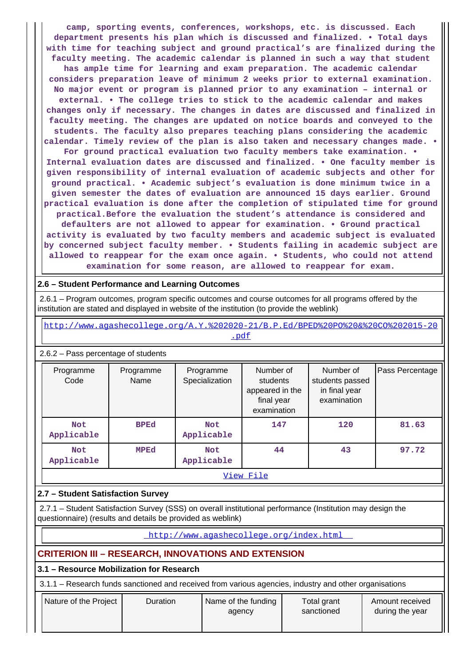**camp, sporting events, conferences, workshops, etc. is discussed. Each department presents his plan which is discussed and finalized. • Total days with time for teaching subject and ground practical's are finalized during the faculty meeting. The academic calendar is planned in such a way that student has ample time for learning and exam preparation. The academic calendar considers preparation leave of minimum 2 weeks prior to external examination. No major event or program is planned prior to any examination – internal or external. • The college tries to stick to the academic calendar and makes changes only if necessary. The changes in dates are discussed and finalized in faculty meeting. The changes are updated on notice boards and conveyed to the students. The faculty also prepares teaching plans considering the academic calendar. Timely review of the plan is also taken and necessary changes made. • For ground practical evaluation two faculty members take examination. • Internal evaluation dates are discussed and finalized. • One faculty member is given responsibility of internal evaluation of academic subjects and other for ground practical. • Academic subject's evaluation is done minimum twice in a given semester the dates of evaluation are announced 15 days earlier. Ground practical evaluation is done after the completion of stipulated time for ground practical.Before the evaluation the student's attendance is considered and defaulters are not allowed to appear for examination. • Ground practical activity is evaluated by two faculty members and academic subject is evaluated by concerned subject faculty member. • Students failing in academic subject are allowed to reappear for the exam once again. • Students, who could not attend**

#### **2.6 – Student Performance and Learning Outcomes**

 2.6.1 – Program outcomes, program specific outcomes and course outcomes for all programs offered by the institution are stated and displayed in website of the institution (to provide the weblink)

 [http://www.agashecollege.org/A.Y.%202020-21/B.P.Ed/BPED%20PO%20&%20CO%202015-20](http://www.agashecollege.org/A.Y.%202020-21/B.P.Ed/BPED%20PO%20&%20CO%202015-20.pdf) [.pdf](http://www.agashecollege.org/A.Y.%202020-21/B.P.Ed/BPED%20PO%20&%20CO%202015-20.pdf)

**examination for some reason, are allowed to reappear for exam.**

| <b>2.0.2 c</b> assignmentage of stage its |                                         |                             |                                                                       |                                                              |                 |  |  |  |
|-------------------------------------------|-----------------------------------------|-----------------------------|-----------------------------------------------------------------------|--------------------------------------------------------------|-----------------|--|--|--|
| Programme<br>Code                         | Programme<br>Name                       | Programme<br>Specialization | Number of<br>students<br>appeared in the<br>final year<br>examination | Number of<br>students passed<br>in final year<br>examination | Pass Percentage |  |  |  |
| <b>Not</b><br>Applicable                  | <b>BPEd</b><br><b>Not</b><br>Applicable |                             | 147                                                                   | 120                                                          | 81.63           |  |  |  |
| Not<br>Applicable                         | <b>MPEd</b>                             | <b>Not</b><br>Applicable    | 44                                                                    | 43                                                           | 97.72           |  |  |  |
| View File                                 |                                         |                             |                                                                       |                                                              |                 |  |  |  |

# 2.6.2 – Pass percentage of students

#### **2.7 – Student Satisfaction Survey**

 2.7.1 – Student Satisfaction Survey (SSS) on overall institutional performance (Institution may design the questionnaire) (results and details be provided as weblink)

<http://www.agashecollege.org/index.html>

## **CRITERION III – RESEARCH, INNOVATIONS AND EXTENSION**

**3.1 – Resource Mobilization for Research**

3.1.1 – Research funds sanctioned and received from various agencies, industry and other organisations

| Nature of the Project | Duration | Name of the funding<br>agency | Total grant<br>sanctioned | Amount received<br>during the year |
|-----------------------|----------|-------------------------------|---------------------------|------------------------------------|
|-----------------------|----------|-------------------------------|---------------------------|------------------------------------|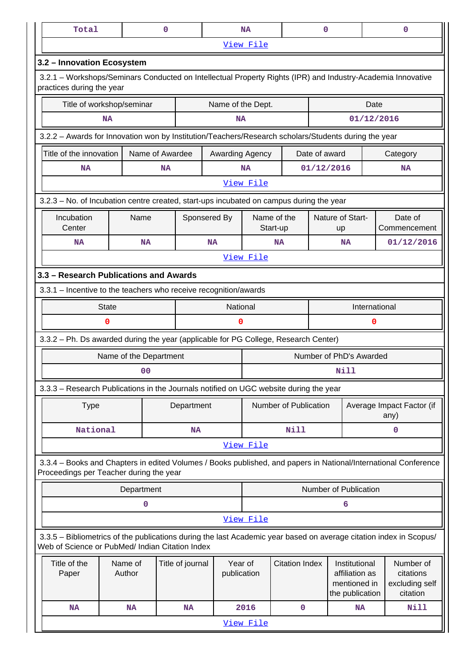| Total                                                                                                                                                                 |                        | 0              |                  |                        | <b>NA</b>                                                  |                         | 0             |                                                                    | $\mathbf 0$   |                                                      |
|-----------------------------------------------------------------------------------------------------------------------------------------------------------------------|------------------------|----------------|------------------|------------------------|------------------------------------------------------------|-------------------------|---------------|--------------------------------------------------------------------|---------------|------------------------------------------------------|
|                                                                                                                                                                       |                        |                |                  |                        | View File                                                  |                         |               |                                                                    |               |                                                      |
| 3.2 - Innovation Ecosystem                                                                                                                                            |                        |                |                  |                        |                                                            |                         |               |                                                                    |               |                                                      |
| 3.2.1 – Workshops/Seminars Conducted on Intellectual Property Rights (IPR) and Industry-Academia Innovative<br>practices during the year                              |                        |                |                  |                        |                                                            |                         |               |                                                                    |               |                                                      |
| Title of workshop/seminar                                                                                                                                             |                        |                |                  | Name of the Dept.      |                                                            |                         | Date          |                                                                    |               |                                                      |
| <b>NA</b>                                                                                                                                                             |                        |                |                  | <b>NA</b>              |                                                            |                         |               | 01/12/2016                                                         |               |                                                      |
| 3.2.2 - Awards for Innovation won by Institution/Teachers/Research scholars/Students during the year                                                                  |                        |                |                  |                        |                                                            |                         |               |                                                                    |               |                                                      |
| Title of the innovation<br>Name of Awardee                                                                                                                            |                        |                |                  | Awarding Agency        |                                                            |                         | Date of award |                                                                    | Category      |                                                      |
| <b>NA</b>                                                                                                                                                             |                        | <b>NA</b>      |                  |                        | <b>NA</b>                                                  |                         | 01/12/2016    |                                                                    | <b>NA</b>     |                                                      |
|                                                                                                                                                                       |                        |                |                  |                        | View File                                                  |                         |               |                                                                    |               |                                                      |
| 3.2.3 – No. of Incubation centre created, start-ups incubated on campus during the year                                                                               |                        |                |                  |                        |                                                            |                         |               |                                                                    |               |                                                      |
| Incubation<br>Center                                                                                                                                                  | Name                   |                | Sponsered By     |                        |                                                            | Name of the<br>Start-up |               | Nature of Start-<br>up                                             |               | Date of<br>Commencement                              |
| <b>NA</b>                                                                                                                                                             |                        | <b>NA</b>      |                  | <b>NA</b>              |                                                            | <b>NA</b>               |               | <b>NA</b>                                                          |               | 01/12/2016                                           |
|                                                                                                                                                                       |                        |                |                  |                        | View File                                                  |                         |               |                                                                    |               |                                                      |
| 3.3 - Research Publications and Awards                                                                                                                                |                        |                |                  |                        |                                                            |                         |               |                                                                    |               |                                                      |
| 3.3.1 - Incentive to the teachers who receive recognition/awards                                                                                                      |                        |                |                  |                        |                                                            |                         |               |                                                                    |               |                                                      |
| <b>State</b>                                                                                                                                                          |                        |                |                  | National               |                                                            |                         |               |                                                                    | International |                                                      |
| 0                                                                                                                                                                     |                        |                |                  |                        | 0                                                          |                         |               |                                                                    | 0             |                                                      |
| 3.3.2 - Ph. Ds awarded during the year (applicable for PG College, Research Center)                                                                                   |                        |                |                  |                        |                                                            |                         |               |                                                                    |               |                                                      |
|                                                                                                                                                                       | Name of the Department |                |                  |                        |                                                            |                         |               | Number of PhD's Awarded                                            |               |                                                      |
|                                                                                                                                                                       |                        | 0 <sub>0</sub> |                  |                        |                                                            |                         |               | Nill                                                               |               |                                                      |
| 3.3.3 - Research Publications in the Journals notified on UGC website during the year                                                                                 |                        |                |                  |                        |                                                            |                         |               |                                                                    |               |                                                      |
| <b>Type</b>                                                                                                                                                           |                        |                | Department       |                        | Number of Publication<br>Average Impact Factor (if<br>any) |                         |               |                                                                    |               |                                                      |
| National                                                                                                                                                              |                        |                | <b>NA</b>        |                        |                                                            | Nill                    |               |                                                                    | 0             |                                                      |
|                                                                                                                                                                       |                        |                |                  |                        | View File                                                  |                         |               |                                                                    |               |                                                      |
| 3.3.4 - Books and Chapters in edited Volumes / Books published, and papers in National/International Conference<br>Proceedings per Teacher during the year            |                        |                |                  |                        |                                                            |                         |               |                                                                    |               |                                                      |
|                                                                                                                                                                       |                        | Department     |                  |                        |                                                            |                         |               | Number of Publication                                              |               |                                                      |
|                                                                                                                                                                       |                        | 0              |                  |                        |                                                            |                         |               | 6                                                                  |               |                                                      |
|                                                                                                                                                                       |                        |                |                  |                        | View File                                                  |                         |               |                                                                    |               |                                                      |
| 3.3.5 - Bibliometrics of the publications during the last Academic year based on average citation index in Scopus/<br>Web of Science or PubMed/ Indian Citation Index |                        |                |                  |                        |                                                            |                         |               |                                                                    |               |                                                      |
| Title of the<br>Paper                                                                                                                                                 | Name of<br>Author      |                | Title of journal | Year of<br>publication |                                                            | <b>Citation Index</b>   |               | Institutional<br>affiliation as<br>mentioned in<br>the publication |               | Number of<br>citations<br>excluding self<br>citation |
| <b>NA</b>                                                                                                                                                             | <b>NA</b>              |                | <b>NA</b>        |                        | 2016                                                       | $\mathbf 0$             |               | <b>NA</b>                                                          |               | Nill                                                 |
| View File                                                                                                                                                             |                        |                |                  |                        |                                                            |                         |               |                                                                    |               |                                                      |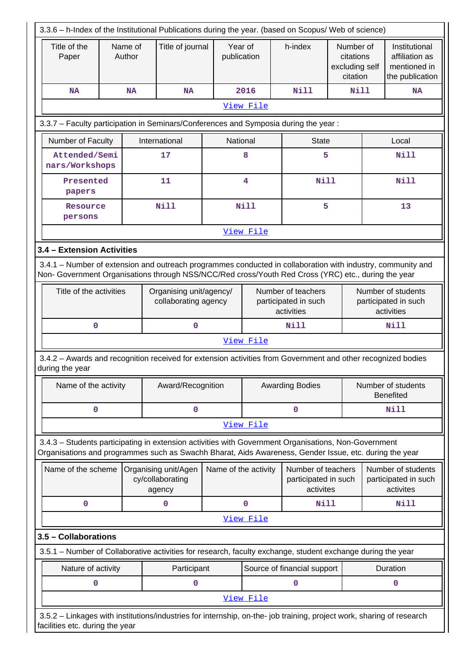| 3.3.6 - h-Index of the Institutional Publications during the year. (based on Scopus/ Web of science)                                                                                                               |                                                                                     |           |                                                    |                      |                                                          |                                                         |                                                      |                                                          |                                                                    |  |
|--------------------------------------------------------------------------------------------------------------------------------------------------------------------------------------------------------------------|-------------------------------------------------------------------------------------|-----------|----------------------------------------------------|----------------------|----------------------------------------------------------|---------------------------------------------------------|------------------------------------------------------|----------------------------------------------------------|--------------------------------------------------------------------|--|
| Title of the<br>Paper                                                                                                                                                                                              | Name of<br>Author                                                                   |           | Title of journal                                   |                      | Year of<br>publication                                   | h-index                                                 | Number of<br>citations<br>excluding self<br>citation |                                                          | Institutional<br>affiliation as<br>mentioned in<br>the publication |  |
| <b>NA</b>                                                                                                                                                                                                          |                                                                                     | <b>NA</b> | <b>NA</b>                                          |                      | 2016                                                     | Nill                                                    |                                                      | Nill<br><b>NA</b>                                        |                                                                    |  |
|                                                                                                                                                                                                                    |                                                                                     |           |                                                    |                      | View File                                                |                                                         |                                                      |                                                          |                                                                    |  |
|                                                                                                                                                                                                                    | 3.3.7 - Faculty participation in Seminars/Conferences and Symposia during the year: |           |                                                    |                      |                                                          |                                                         |                                                      |                                                          |                                                                    |  |
|                                                                                                                                                                                                                    | International<br>Number of Faculty                                                  |           |                                                    | National             |                                                          | <b>State</b>                                            |                                                      |                                                          | Local                                                              |  |
| Attended/Semi<br>nars/Workshops                                                                                                                                                                                    |                                                                                     |           | 17                                                 |                      | 8                                                        |                                                         | 5                                                    |                                                          | <b>Nill</b>                                                        |  |
| Presented<br>papers                                                                                                                                                                                                |                                                                                     |           | 11                                                 |                      | 4                                                        | <b>Nill</b>                                             |                                                      |                                                          | <b>Nill</b>                                                        |  |
| Resource<br>persons                                                                                                                                                                                                |                                                                                     |           | <b>Nill</b>                                        |                      | <b>Nill</b>                                              |                                                         | 5                                                    |                                                          | 13                                                                 |  |
|                                                                                                                                                                                                                    |                                                                                     |           |                                                    |                      | View File                                                |                                                         |                                                      |                                                          |                                                                    |  |
| 3.4 - Extension Activities                                                                                                                                                                                         |                                                                                     |           |                                                    |                      |                                                          |                                                         |                                                      |                                                          |                                                                    |  |
| 3.4.1 – Number of extension and outreach programmes conducted in collaboration with industry, community and<br>Non- Government Organisations through NSS/NCC/Red cross/Youth Red Cross (YRC) etc., during the year |                                                                                     |           |                                                    |                      |                                                          |                                                         |                                                      |                                                          |                                                                    |  |
| Title of the activities                                                                                                                                                                                            |                                                                                     |           | Organising unit/agency/<br>collaborating agency    |                      | Number of teachers<br>participated in such<br>activities |                                                         |                                                      | Number of students<br>participated in such<br>activities |                                                                    |  |
| $\mathbf 0$                                                                                                                                                                                                        |                                                                                     |           | $\mathbf 0$                                        |                      |                                                          | Nill                                                    |                                                      |                                                          | Nill                                                               |  |
|                                                                                                                                                                                                                    |                                                                                     |           |                                                    |                      | View File                                                |                                                         |                                                      |                                                          |                                                                    |  |
| 3.4.2 - Awards and recognition received for extension activities from Government and other recognized bodies<br>during the year                                                                                    |                                                                                     |           |                                                    |                      |                                                          |                                                         |                                                      |                                                          |                                                                    |  |
| Name of the activity                                                                                                                                                                                               |                                                                                     |           | Award/Recognition                                  |                      |                                                          | <b>Awarding Bodies</b>                                  |                                                      |                                                          | Number of students<br><b>Benefited</b>                             |  |
| $\mathbf 0$                                                                                                                                                                                                        |                                                                                     |           | 0                                                  |                      |                                                          | $\mathbf 0$                                             |                                                      |                                                          | Nill                                                               |  |
|                                                                                                                                                                                                                    |                                                                                     |           |                                                    |                      | View File                                                |                                                         |                                                      |                                                          |                                                                    |  |
| 3.4.3 - Students participating in extension activities with Government Organisations, Non-Government<br>Organisations and programmes such as Swachh Bharat, Aids Awareness, Gender Issue, etc. during the year     |                                                                                     |           |                                                    |                      |                                                          |                                                         |                                                      |                                                          |                                                                    |  |
| Name of the scheme                                                                                                                                                                                                 |                                                                                     |           | Organising unit/Agen<br>cy/collaborating<br>agency | Name of the activity |                                                          | Number of teachers<br>participated in such<br>activites |                                                      |                                                          | Number of students<br>participated in such<br>activites            |  |
| 0                                                                                                                                                                                                                  |                                                                                     |           | 0                                                  |                      | 0                                                        | Nill                                                    |                                                      |                                                          | <b>Nill</b>                                                        |  |
|                                                                                                                                                                                                                    |                                                                                     |           |                                                    |                      | View File                                                |                                                         |                                                      |                                                          |                                                                    |  |
| 3.5 - Collaborations                                                                                                                                                                                               |                                                                                     |           |                                                    |                      |                                                          |                                                         |                                                      |                                                          |                                                                    |  |
| 3.5.1 – Number of Collaborative activities for research, faculty exchange, student exchange during the year                                                                                                        |                                                                                     |           |                                                    |                      |                                                          |                                                         |                                                      |                                                          |                                                                    |  |
| Nature of activity                                                                                                                                                                                                 |                                                                                     |           | Participant                                        |                      |                                                          | Source of financial support                             |                                                      |                                                          | Duration                                                           |  |
| 0                                                                                                                                                                                                                  |                                                                                     |           | 0                                                  |                      |                                                          | 0                                                       |                                                      |                                                          | $\mathbf 0$                                                        |  |
|                                                                                                                                                                                                                    | View File                                                                           |           |                                                    |                      |                                                          |                                                         |                                                      |                                                          |                                                                    |  |
| 3.5.2 - Linkages with institutions/industries for internship, on-the- job training, project work, sharing of research<br>facilities etc. during the year                                                           |                                                                                     |           |                                                    |                      |                                                          |                                                         |                                                      |                                                          |                                                                    |  |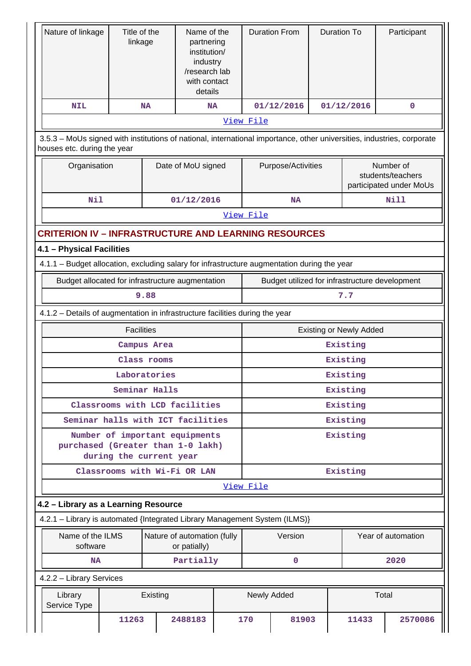| Nature of linkage                                                                                                                                     |                                                           | Title of the<br>linkage |            | Name of the<br>partnering<br>institution/<br>industry<br>/research lab<br>with contact<br>details |                                                | <b>Duration From</b> | <b>Duration To</b> |                                |                    | Participant |
|-------------------------------------------------------------------------------------------------------------------------------------------------------|-----------------------------------------------------------|-------------------------|------------|---------------------------------------------------------------------------------------------------|------------------------------------------------|----------------------|--------------------|--------------------------------|--------------------|-------------|
| <b>NIL</b>                                                                                                                                            |                                                           | <b>NA</b>               | <b>NA</b>  |                                                                                                   |                                                | 01/12/2016           |                    | 01/12/2016                     |                    | 0           |
|                                                                                                                                                       |                                                           |                         |            |                                                                                                   | View File                                      |                      |                    |                                |                    |             |
| 3.5.3 – MoUs signed with institutions of national, international importance, other universities, industries, corporate<br>houses etc. during the year |                                                           |                         |            |                                                                                                   |                                                |                      |                    |                                |                    |             |
| Organisation                                                                                                                                          |                                                           | Date of MoU signed      |            | Purpose/Activities<br>Number of<br>students/teachers<br>participated under MoUs                   |                                                |                      |                    |                                |                    |             |
| <b>Nil</b>                                                                                                                                            |                                                           |                         | 01/12/2016 |                                                                                                   |                                                | NA                   |                    |                                |                    | <b>Nill</b> |
|                                                                                                                                                       |                                                           |                         |            |                                                                                                   | View File                                      |                      |                    |                                |                    |             |
| <b>CRITERION IV - INFRASTRUCTURE AND LEARNING RESOURCES</b>                                                                                           |                                                           |                         |            |                                                                                                   |                                                |                      |                    |                                |                    |             |
| 4.1 - Physical Facilities                                                                                                                             |                                                           |                         |            |                                                                                                   |                                                |                      |                    |                                |                    |             |
| 4.1.1 - Budget allocation, excluding salary for infrastructure augmentation during the year                                                           |                                                           |                         |            |                                                                                                   |                                                |                      |                    |                                |                    |             |
| Budget allocated for infrastructure augmentation                                                                                                      |                                                           |                         |            |                                                                                                   | Budget utilized for infrastructure development |                      |                    |                                |                    |             |
| 9.88                                                                                                                                                  |                                                           |                         |            |                                                                                                   |                                                |                      |                    | 7.7                            |                    |             |
| 4.1.2 - Details of augmentation in infrastructure facilities during the year                                                                          |                                                           |                         |            |                                                                                                   |                                                |                      |                    |                                |                    |             |
| <b>Facilities</b>                                                                                                                                     |                                                           |                         |            |                                                                                                   |                                                |                      |                    | <b>Existing or Newly Added</b> |                    |             |
|                                                                                                                                                       |                                                           | Campus Area             |            |                                                                                                   |                                                |                      |                    | Existing                       |                    |             |
|                                                                                                                                                       |                                                           | Class rooms             |            |                                                                                                   |                                                |                      |                    | Existing                       |                    |             |
|                                                                                                                                                       |                                                           | Laboratories            |            |                                                                                                   | Existing                                       |                      |                    |                                |                    |             |
|                                                                                                                                                       |                                                           | Seminar Halls           |            |                                                                                                   | Existing                                       |                      |                    |                                |                    |             |
|                                                                                                                                                       | Classrooms with LCD facilities                            |                         |            |                                                                                                   | Existing                                       |                      |                    |                                |                    |             |
|                                                                                                                                                       | Seminar halls with ICT facilities                         |                         |            |                                                                                                   | Existing                                       |                      |                    |                                |                    |             |
| purchased (Greater than 1-0 lakh)                                                                                                                     | Number of important equipments<br>during the current year |                         |            |                                                                                                   | Existing                                       |                      |                    |                                |                    |             |
|                                                                                                                                                       | Classrooms with Wi-Fi OR LAN                              |                         |            |                                                                                                   |                                                |                      |                    | Existing                       |                    |             |
|                                                                                                                                                       |                                                           |                         |            |                                                                                                   | View File                                      |                      |                    |                                |                    |             |
| 4.2 - Library as a Learning Resource                                                                                                                  |                                                           |                         |            |                                                                                                   |                                                |                      |                    |                                |                    |             |
| 4.2.1 - Library is automated {Integrated Library Management System (ILMS)}                                                                            |                                                           |                         |            |                                                                                                   |                                                |                      |                    |                                |                    |             |
| Name of the ILMS<br>Nature of automation (fully<br>software<br>or patially)                                                                           |                                                           |                         |            |                                                                                                   | Version                                        |                      |                    |                                | Year of automation |             |
| <b>NA</b>                                                                                                                                             |                                                           |                         | Partially  |                                                                                                   |                                                | $\mathbf 0$          |                    |                                |                    | 2020        |
| 4.2.2 - Library Services                                                                                                                              |                                                           |                         |            |                                                                                                   |                                                |                      |                    |                                |                    |             |
| Library<br>Existing<br>Service Type                                                                                                                   |                                                           |                         |            |                                                                                                   | Newly Added                                    |                      |                    | Total                          |                    |             |
|                                                                                                                                                       | 11263                                                     |                         | 2488183    |                                                                                                   | 170                                            | 81903                |                    | 11433                          |                    | 2570086     |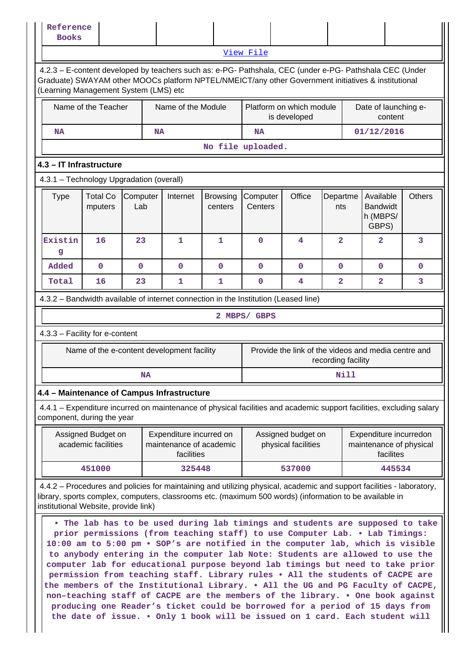| Reference<br><b>Books</b>                                                                                                                                                                                                                                                |                                                                                                                                                                                                                                                                                                                                                                                                                                                                                                                                                                                                                                                                                                                                                                                                                                         |                 |    |                                                                  |                            |                                                                             |                                                                           |                         |      |                                                                |               |
|--------------------------------------------------------------------------------------------------------------------------------------------------------------------------------------------------------------------------------------------------------------------------|-----------------------------------------------------------------------------------------------------------------------------------------------------------------------------------------------------------------------------------------------------------------------------------------------------------------------------------------------------------------------------------------------------------------------------------------------------------------------------------------------------------------------------------------------------------------------------------------------------------------------------------------------------------------------------------------------------------------------------------------------------------------------------------------------------------------------------------------|-----------------|----|------------------------------------------------------------------|----------------------------|-----------------------------------------------------------------------------|---------------------------------------------------------------------------|-------------------------|------|----------------------------------------------------------------|---------------|
|                                                                                                                                                                                                                                                                          |                                                                                                                                                                                                                                                                                                                                                                                                                                                                                                                                                                                                                                                                                                                                                                                                                                         |                 |    |                                                                  |                            | View File                                                                   |                                                                           |                         |      |                                                                |               |
| 4.2.3 - E-content developed by teachers such as: e-PG- Pathshala, CEC (under e-PG- Pathshala CEC (Under<br>Graduate) SWAYAM other MOOCs platform NPTEL/NMEICT/any other Government initiatives & institutional<br>(Learning Management System (LMS) etc                  |                                                                                                                                                                                                                                                                                                                                                                                                                                                                                                                                                                                                                                                                                                                                                                                                                                         |                 |    |                                                                  |                            |                                                                             |                                                                           |                         |      |                                                                |               |
|                                                                                                                                                                                                                                                                          | Name of the Teacher                                                                                                                                                                                                                                                                                                                                                                                                                                                                                                                                                                                                                                                                                                                                                                                                                     |                 |    | Name of the Module                                               |                            | Platform on which module<br>Date of launching e-<br>is developed<br>content |                                                                           |                         |      |                                                                |               |
| NA                                                                                                                                                                                                                                                                       |                                                                                                                                                                                                                                                                                                                                                                                                                                                                                                                                                                                                                                                                                                                                                                                                                                         |                 | NA |                                                                  |                            | NA                                                                          |                                                                           |                         |      | 01/12/2016                                                     |               |
|                                                                                                                                                                                                                                                                          |                                                                                                                                                                                                                                                                                                                                                                                                                                                                                                                                                                                                                                                                                                                                                                                                                                         |                 |    |                                                                  |                            | No file uploaded.                                                           |                                                                           |                         |      |                                                                |               |
| 4.3 - IT Infrastructure                                                                                                                                                                                                                                                  |                                                                                                                                                                                                                                                                                                                                                                                                                                                                                                                                                                                                                                                                                                                                                                                                                                         |                 |    |                                                                  |                            |                                                                             |                                                                           |                         |      |                                                                |               |
| 4.3.1 - Technology Upgradation (overall)                                                                                                                                                                                                                                 |                                                                                                                                                                                                                                                                                                                                                                                                                                                                                                                                                                                                                                                                                                                                                                                                                                         |                 |    |                                                                  |                            |                                                                             |                                                                           |                         |      |                                                                |               |
| <b>Type</b>                                                                                                                                                                                                                                                              | <b>Total Co</b><br>mputers                                                                                                                                                                                                                                                                                                                                                                                                                                                                                                                                                                                                                                                                                                                                                                                                              | Computer<br>Lab |    | Internet                                                         | <b>Browsing</b><br>centers | Computer<br>Centers                                                         | Office                                                                    | Departme<br>nts         |      | Available<br><b>Bandwidt</b><br>h (MBPS/<br>GBPS)              | <b>Others</b> |
| Existin<br>g                                                                                                                                                                                                                                                             | 16                                                                                                                                                                                                                                                                                                                                                                                                                                                                                                                                                                                                                                                                                                                                                                                                                                      | 23              |    | $\mathbf{1}$                                                     | $\mathbf{1}$               | 0                                                                           | 4                                                                         | $\overline{2}$          |      | $\overline{2}$                                                 | 3             |
| Added                                                                                                                                                                                                                                                                    | $\mathbf 0$                                                                                                                                                                                                                                                                                                                                                                                                                                                                                                                                                                                                                                                                                                                                                                                                                             | 0               |    | $\mathbf 0$                                                      | $\mathbf 0$                | $\mathbf 0$                                                                 | 0                                                                         | $\mathbf 0$             |      | 0                                                              | 0             |
| Total                                                                                                                                                                                                                                                                    | 16                                                                                                                                                                                                                                                                                                                                                                                                                                                                                                                                                                                                                                                                                                                                                                                                                                      | 23              |    | 1                                                                | 1                          | 0                                                                           | 4                                                                         | $\overline{\mathbf{2}}$ |      | $\overline{2}$                                                 | 3             |
| 4.3.2 - Bandwidth available of internet connection in the Institution (Leased line)                                                                                                                                                                                      |                                                                                                                                                                                                                                                                                                                                                                                                                                                                                                                                                                                                                                                                                                                                                                                                                                         |                 |    |                                                                  |                            |                                                                             |                                                                           |                         |      |                                                                |               |
|                                                                                                                                                                                                                                                                          |                                                                                                                                                                                                                                                                                                                                                                                                                                                                                                                                                                                                                                                                                                                                                                                                                                         |                 |    |                                                                  |                            | 2 MBPS/ GBPS                                                                |                                                                           |                         |      |                                                                |               |
| 4.3.3 - Facility for e-content                                                                                                                                                                                                                                           |                                                                                                                                                                                                                                                                                                                                                                                                                                                                                                                                                                                                                                                                                                                                                                                                                                         |                 |    |                                                                  |                            |                                                                             |                                                                           |                         |      |                                                                |               |
|                                                                                                                                                                                                                                                                          | Name of the e-content development facility                                                                                                                                                                                                                                                                                                                                                                                                                                                                                                                                                                                                                                                                                                                                                                                              |                 |    |                                                                  |                            |                                                                             | Provide the link of the videos and media centre and<br>recording facility |                         |      |                                                                |               |
|                                                                                                                                                                                                                                                                          |                                                                                                                                                                                                                                                                                                                                                                                                                                                                                                                                                                                                                                                                                                                                                                                                                                         |                 | NA |                                                                  |                            |                                                                             |                                                                           |                         | Nill |                                                                |               |
| 4.4 - Maintenance of Campus Infrastructure                                                                                                                                                                                                                               |                                                                                                                                                                                                                                                                                                                                                                                                                                                                                                                                                                                                                                                                                                                                                                                                                                         |                 |    |                                                                  |                            |                                                                             |                                                                           |                         |      |                                                                |               |
| 4.4.1 – Expenditure incurred on maintenance of physical facilities and academic support facilities, excluding salary<br>component, during the year                                                                                                                       |                                                                                                                                                                                                                                                                                                                                                                                                                                                                                                                                                                                                                                                                                                                                                                                                                                         |                 |    |                                                                  |                            |                                                                             |                                                                           |                         |      |                                                                |               |
|                                                                                                                                                                                                                                                                          | Assigned Budget on<br>academic facilities                                                                                                                                                                                                                                                                                                                                                                                                                                                                                                                                                                                                                                                                                                                                                                                               |                 |    | Expenditure incurred on<br>maintenance of academic<br>facilities |                            |                                                                             | Assigned budget on<br>physical facilities                                 |                         |      | Expenditure incurredon<br>maintenance of physical<br>facilites |               |
|                                                                                                                                                                                                                                                                          | 451000                                                                                                                                                                                                                                                                                                                                                                                                                                                                                                                                                                                                                                                                                                                                                                                                                                  |                 |    | 325448                                                           |                            |                                                                             | 537000                                                                    |                         |      | 445534                                                         |               |
| 4.4.2 – Procedures and policies for maintaining and utilizing physical, academic and support facilities - laboratory,<br>library, sports complex, computers, classrooms etc. (maximum 500 words) (information to be available in<br>institutional Website, provide link) |                                                                                                                                                                                                                                                                                                                                                                                                                                                                                                                                                                                                                                                                                                                                                                                                                                         |                 |    |                                                                  |                            |                                                                             |                                                                           |                         |      |                                                                |               |
|                                                                                                                                                                                                                                                                          | . The lab has to be used during lab timings and students are supposed to take<br>prior permissions (from teaching staff) to use Computer Lab. . Lab Timings:<br>10:00 am to 5:00 pm . SOP's are notified in the computer lab, which is visible<br>to anybody entering in the computer lab Note: Students are allowed to use the<br>computer lab for educational purpose beyond lab timings but need to take prior<br>permission from teaching staff. Library rules . All the students of CACPE are<br>the members of the Institutional Library. . All the UG and PG Faculty of CACPE,<br>non-teaching staff of CACPE are the members of the library. . One book against<br>producing one Reader's ticket could be borrowed for a period of 15 days from<br>the date of issue. . Only 1 book will be issued on 1 card. Each student will |                 |    |                                                                  |                            |                                                                             |                                                                           |                         |      |                                                                |               |

 $\perp$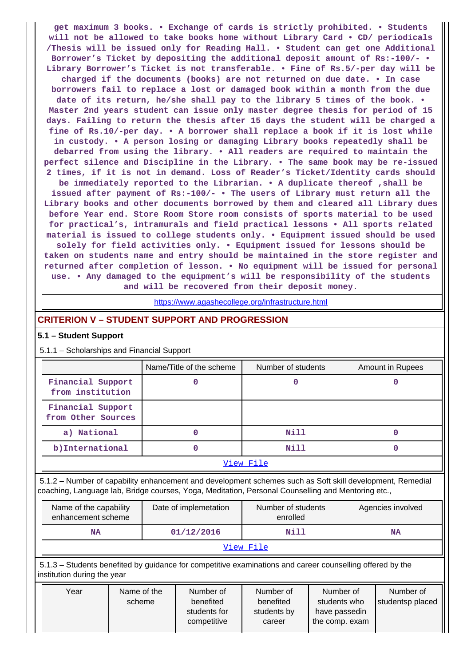**get maximum 3 books. • Exchange of cards is strictly prohibited. • Students will not be allowed to take books home without Library Card • CD/ periodicals /Thesis will be issued only for Reading Hall. • Student can get one Additional Borrower's Ticket by depositing the additional deposit amount of Rs:-100/- • Library Borrower's Ticket is not transferable. • Fine of Rs.5/-per day will be charged if the documents (books) are not returned on due date. • In case borrowers fail to replace a lost or damaged book within a month from the due date of its return, he/she shall pay to the library 5 times of the book. • Master 2nd years student can issue only master degree thesis for period of 15 days. Failing to return the thesis after 15 days the student will be charged a fine of Rs.10/-per day. • A borrower shall replace a book if it is lost while in custody. • A person losing or damaging Library books repeatedly shall be debarred from using the library. • All readers are required to maintain the perfect silence and Discipline in the Library. • The same book may be re-issued 2 times, if it is not in demand. Loss of Reader's Ticket/Identity cards should be immediately reported to the Librarian. • A duplicate thereof ,shall be issued after payment of Rs:-100/- • The users of Library must return all the Library books and other documents borrowed by them and cleared all Library dues before Year end. Store Room Store room consists of sports material to be used for practical's, intramurals and field practical lessons • All sports related material is issued to college students only. • Equipment issued should be used solely for field activities only. • Equipment issued for lessons should be taken on students name and entry should be maintained in the store register and returned after completion of lesson. • No equipment will be issued for personal use. • Any damaged to the equipment's will be responsibility of the students and will be recovered from their deposit money.**

<https://www.agashecollege.org/infrastructure.html>

## **CRITERION V – STUDENT SUPPORT AND PROGRESSION**

#### **5.1 – Student Support**

5.1.1 – Scholarships and Financial Support

|                                         | Name/Title of the scheme | Number of students | Amount in Rupees |  |  |  |
|-----------------------------------------|--------------------------|--------------------|------------------|--|--|--|
| Financial Support<br>from institution   |                          |                    |                  |  |  |  |
| Financial Support<br>from Other Sources |                          |                    |                  |  |  |  |
| a) National                             | 0                        | Nill               |                  |  |  |  |
| b) International                        |                          | Nill               |                  |  |  |  |
| View File                               |                          |                    |                  |  |  |  |

 5.1.2 – Number of capability enhancement and development schemes such as Soft skill development, Remedial coaching, Language lab, Bridge courses, Yoga, Meditation, Personal Counselling and Mentoring etc.,

| Name of the capability<br>enhancement scheme | Date of implemetation | Number of students<br>enrolled | Agencies involved |  |  |  |
|----------------------------------------------|-----------------------|--------------------------------|-------------------|--|--|--|
| NA                                           | 01/12/2016            | Nill                           | NA                |  |  |  |
| View File                                    |                       |                                |                   |  |  |  |

 5.1.3 – Students benefited by guidance for competitive examinations and career counselling offered by the institution during the year

| Year | Name of the | Number of                   | Number of             | Number of                       | Number of        |
|------|-------------|-----------------------------|-----------------------|---------------------------------|------------------|
|      | scheme      | benefited                   | benefited             | students who                    | studentsp placed |
|      |             | students for<br>competitive | students by<br>career | have passedin<br>the comp. exam |                  |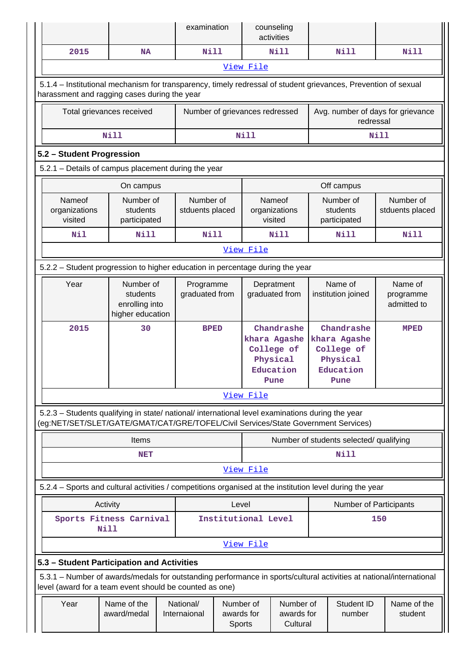|                                                                                                                                                                                        |                                                             |                           | examination                  |                                   |           | counseling<br>activities                                                  |                                                |                                                                           |                                     |
|----------------------------------------------------------------------------------------------------------------------------------------------------------------------------------------|-------------------------------------------------------------|---------------------------|------------------------------|-----------------------------------|-----------|---------------------------------------------------------------------------|------------------------------------------------|---------------------------------------------------------------------------|-------------------------------------|
| 2015                                                                                                                                                                                   | <b>NA</b>                                                   |                           | <b>Nill</b>                  |                                   |           | <b>Nill</b>                                                               |                                                | <b>Nill</b>                                                               | <b>Nill</b>                         |
|                                                                                                                                                                                        |                                                             |                           |                              |                                   | View File |                                                                           |                                                |                                                                           |                                     |
| 5.1.4 - Institutional mechanism for transparency, timely redressal of student grievances, Prevention of sexual<br>harassment and ragging cases during the year                         |                                                             |                           |                              |                                   |           |                                                                           |                                                |                                                                           |                                     |
|                                                                                                                                                                                        | Total grievances received                                   |                           |                              | Number of grievances redressed    |           |                                                                           | Avg. number of days for grievance<br>redressal |                                                                           |                                     |
| <b>Nill</b>                                                                                                                                                                            |                                                             |                           |                              | <b>Nill</b>                       |           |                                                                           |                                                | Nill                                                                      |                                     |
|                                                                                                                                                                                        | 5.2 - Student Progression                                   |                           |                              |                                   |           |                                                                           |                                                |                                                                           |                                     |
| 5.2.1 - Details of campus placement during the year                                                                                                                                    |                                                             |                           |                              |                                   |           |                                                                           |                                                |                                                                           |                                     |
|                                                                                                                                                                                        | Off campus<br>On campus                                     |                           |                              |                                   |           |                                                                           |                                                |                                                                           |                                     |
| Nameof<br>organizations<br>visited                                                                                                                                                     | Number of<br>students<br>participated                       |                           | Number of<br>stduents placed |                                   |           | Nameof<br>organizations<br>visited                                        |                                                | Number of<br>students<br>participated                                     | Number of<br>stduents placed        |
| Nil                                                                                                                                                                                    | Nill                                                        |                           | <b>Nill</b>                  |                                   |           | <b>Nill</b>                                                               |                                                | <b>Nill</b>                                                               | <b>Nill</b>                         |
|                                                                                                                                                                                        | View File                                                   |                           |                              |                                   |           |                                                                           |                                                |                                                                           |                                     |
| 5.2.2 - Student progression to higher education in percentage during the year                                                                                                          |                                                             |                           |                              |                                   |           |                                                                           |                                                |                                                                           |                                     |
| Year                                                                                                                                                                                   | Number of<br>students<br>enrolling into<br>higher education |                           | Programme<br>graduated from  |                                   |           | Depratment<br>graduated from                                              |                                                | Name of<br>institution joined                                             | Name of<br>programme<br>admitted to |
| 2015                                                                                                                                                                                   | 30                                                          |                           | <b>BPED</b>                  |                                   |           | Chandrashe<br>khara Agashe<br>College of<br>Physical<br>Education<br>Pune |                                                | Chandrashe<br>khara Agashe<br>College of<br>Physical<br>Education<br>Pune | <b>MPED</b>                         |
|                                                                                                                                                                                        |                                                             |                           |                              |                                   | View File |                                                                           |                                                |                                                                           |                                     |
| 5.2.3 - Students qualifying in state/ national/ international level examinations during the year<br>(eg:NET/SET/SLET/GATE/GMAT/CAT/GRE/TOFEL/Civil Services/State Government Services) |                                                             |                           |                              |                                   |           |                                                                           |                                                |                                                                           |                                     |
|                                                                                                                                                                                        | Items                                                       |                           |                              |                                   |           |                                                                           |                                                | Number of students selected/ qualifying                                   |                                     |
|                                                                                                                                                                                        | <b>NET</b>                                                  |                           |                              |                                   |           |                                                                           |                                                | Nill                                                                      |                                     |
|                                                                                                                                                                                        |                                                             |                           |                              |                                   | View File |                                                                           |                                                |                                                                           |                                     |
| 5.2.4 - Sports and cultural activities / competitions organised at the institution level during the year                                                                               |                                                             |                           |                              |                                   |           |                                                                           |                                                |                                                                           |                                     |
|                                                                                                                                                                                        | Activity                                                    |                           |                              | Level                             |           |                                                                           |                                                | Number of Participants                                                    |                                     |
| Sports Fitness Carnival                                                                                                                                                                | Nill                                                        |                           |                              | Institutional Level               |           |                                                                           |                                                |                                                                           | 150                                 |
|                                                                                                                                                                                        | View File                                                   |                           |                              |                                   |           |                                                                           |                                                |                                                                           |                                     |
| 5.3 - Student Participation and Activities                                                                                                                                             |                                                             |                           |                              |                                   |           |                                                                           |                                                |                                                                           |                                     |
| 5.3.1 – Number of awards/medals for outstanding performance in sports/cultural activities at national/international<br>level (award for a team event should be counted as one)         |                                                             |                           |                              |                                   |           |                                                                           |                                                |                                                                           |                                     |
| Year                                                                                                                                                                                   | Name of the<br>award/medal                                  | National/<br>Internaional |                              | Number of<br>awards for<br>Sports |           | Number of<br>awards for<br>Cultural                                       |                                                | Student ID<br>number                                                      | Name of the<br>student              |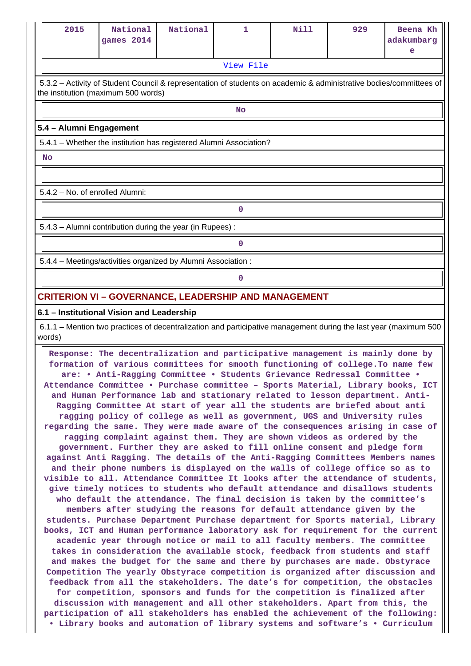| 2015                                                                                                                                                      | National<br>games 2014                                       | National | 1         | Nill | 929 | Beena Kh<br>adakumbarg<br>e |  |
|-----------------------------------------------------------------------------------------------------------------------------------------------------------|--------------------------------------------------------------|----------|-----------|------|-----|-----------------------------|--|
|                                                                                                                                                           |                                                              |          | View File |      |     |                             |  |
| 5.3.2 - Activity of Student Council & representation of students on academic & administrative bodies/committees of<br>the institution (maximum 500 words) |                                                              |          |           |      |     |                             |  |
| <b>No</b>                                                                                                                                                 |                                                              |          |           |      |     |                             |  |
| 5.4 - Alumni Engagement                                                                                                                                   |                                                              |          |           |      |     |                             |  |
| 5.4.1 - Whether the institution has registered Alumni Association?                                                                                        |                                                              |          |           |      |     |                             |  |
| <b>No</b>                                                                                                                                                 |                                                              |          |           |      |     |                             |  |
|                                                                                                                                                           |                                                              |          |           |      |     |                             |  |
| 5.4.2 - No. of enrolled Alumni:                                                                                                                           |                                                              |          |           |      |     |                             |  |
|                                                                                                                                                           |                                                              |          | 0         |      |     |                             |  |
|                                                                                                                                                           | 5.4.3 - Alumni contribution during the year (in Rupees):     |          |           |      |     |                             |  |
|                                                                                                                                                           |                                                              |          | 0         |      |     |                             |  |
|                                                                                                                                                           | 5.4.4 - Meetings/activities organized by Alumni Association: |          |           |      |     |                             |  |
| 0                                                                                                                                                         |                                                              |          |           |      |     |                             |  |
| <b>CRITERION VI - GOVERNANCE, LEADERSHIP AND MANAGEMENT</b>                                                                                               |                                                              |          |           |      |     |                             |  |

#### **6.1 – Institutional Vision and Leadership**

 6.1.1 – Mention two practices of decentralization and participative management during the last year (maximum 500 words)

 **Response: The decentralization and participative management is mainly done by formation of various committees for smooth functioning of college.To name few are: • Anti-Ragging Committee • Students Grievance Redressal Committee • Attendance Committee • Purchase committee – Sports Material, Library books, ICT and Human Performance lab and stationary related to lesson department. Anti-Ragging Committee At start of year all the students are briefed about anti ragging policy of college as well as government, UGS and University rules regarding the same. They were made aware of the consequences arising in case of ragging complaint against them. They are shown videos as ordered by the government. Further they are asked to fill online consent and pledge form against Anti Ragging. The details of the Anti-Ragging Committees Members names and their phone numbers is displayed on the walls of college office so as to visible to all. Attendance Committee It looks after the attendance of students, give timely notices to students who default attendance and disallows students who default the attendance. The final decision is taken by the committee's members after studying the reasons for default attendance given by the students. Purchase Department Purchase department for Sports material, Library books, ICT and Human performance laboratory ask for requirement for the current academic year through notice or mail to all faculty members. The committee takes in consideration the available stock, feedback from students and staff and makes the budget for the same and there by purchases are made. Obstyrace Competition The yearly Obstyrace competition is organized after discussion and feedback from all the stakeholders. The date's for competition, the obstacles for competition, sponsors and funds for the competition is finalized after discussion with management and all other stakeholders. Apart from this, the participation of all stakeholders has enabled the achievement of the following: • Library books and automation of library systems and software's • Curriculum**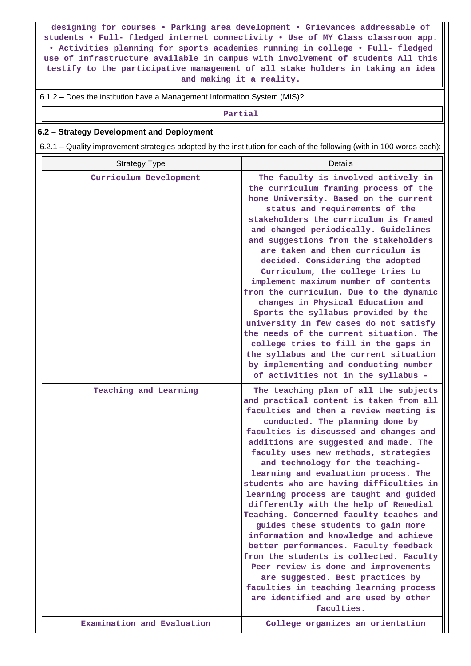**designing for courses • Parking area development • Grievances addressable of students • Full- fledged internet connectivity • Use of MY Class classroom app. • Activities planning for sports academies running in college • Full- fledged use of infrastructure available in campus with involvement of students All this testify to the participative management of all stake holders in taking an idea and making it a reality.**

6.1.2 – Does the institution have a Management Information System (MIS)?

#### **Partial**

### **6.2 – Strategy Development and Deployment**

6.2.1 – Quality improvement strategies adopted by the institution for each of the following (with in 100 words each):

| <b>Strategy Type</b>       | <b>Details</b>                                                                                                                                                                                                                                                                                                                                                                                                                                                                                                                                                                                                                                                                                                                                                                                                                                                                               |
|----------------------------|----------------------------------------------------------------------------------------------------------------------------------------------------------------------------------------------------------------------------------------------------------------------------------------------------------------------------------------------------------------------------------------------------------------------------------------------------------------------------------------------------------------------------------------------------------------------------------------------------------------------------------------------------------------------------------------------------------------------------------------------------------------------------------------------------------------------------------------------------------------------------------------------|
| Curriculum Development     | The faculty is involved actively in<br>the curriculum framing process of the<br>home University. Based on the current<br>status and requirements of the<br>stakeholders the curriculum is framed<br>and changed periodically. Guidelines<br>and suggestions from the stakeholders<br>are taken and then curriculum is<br>decided. Considering the adopted<br>Curriculum, the college tries to<br>implement maximum number of contents<br>from the curriculum. Due to the dynamic<br>changes in Physical Education and<br>Sports the syllabus provided by the<br>university in few cases do not satisfy<br>the needs of the current situation. The<br>college tries to fill in the gaps in<br>the syllabus and the current situation<br>by implementing and conducting number<br>of activities not in the syllabus -                                                                          |
| Teaching and Learning      | The teaching plan of all the subjects<br>and practical content is taken from all<br>faculties and then a review meeting is<br>conducted. The planning done by<br>faculties is discussed and changes and<br>additions are suggested and made. The<br>faculty uses new methods, strategies<br>and technology for the teaching-<br>learning and evaluation process. The<br>students who are having difficulties in<br>learning process are taught and guided<br>differently with the help of Remedial<br>Teaching. Concerned faculty teaches and<br>guides these students to gain more<br>information and knowledge and achieve<br>better performances. Faculty feedback<br>from the students is collected. Faculty<br>Peer review is done and improvements<br>are suggested. Best practices by<br>faculties in teaching learning process<br>are identified and are used by other<br>faculties. |
| Examination and Evaluation | College organizes an orientation                                                                                                                                                                                                                                                                                                                                                                                                                                                                                                                                                                                                                                                                                                                                                                                                                                                             |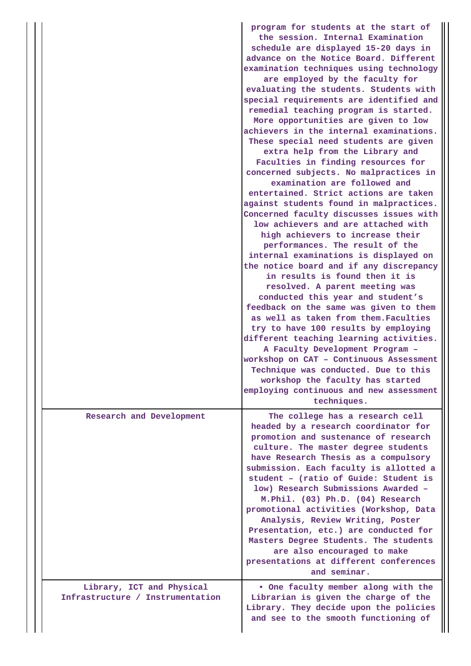|                                                               | program for students at the start of<br>the session. Internal Examination<br>schedule are displayed 15-20 days in<br>advance on the Notice Board. Different<br>examination techniques using technology<br>are employed by the faculty for<br>evaluating the students. Students with<br>special requirements are identified and<br>remedial teaching program is started.<br>More opportunities are given to low<br>achievers in the internal examinations.<br>These special need students are given<br>extra help from the Library and<br>Faculties in finding resources for<br>concerned subjects. No malpractices in<br>examination are followed and<br>entertained. Strict actions are taken<br>against students found in malpractices.<br>Concerned faculty discusses issues with<br>low achievers and are attached with<br>high achievers to increase their<br>performances. The result of the<br>internal examinations is displayed on<br>the notice board and if any discrepancy<br>in results is found then it is<br>resolved. A parent meeting was<br>conducted this year and student's<br>feedback on the same was given to them<br>as well as taken from them. Faculties<br>try to have 100 results by employing<br>different teaching learning activities.<br>A Faculty Development Program -<br>workshop on CAT - Continuous Assessment<br>Technique was conducted. Due to this<br>workshop the faculty has started<br>employing continuous and new assessment<br>techniques. |
|---------------------------------------------------------------|-------------------------------------------------------------------------------------------------------------------------------------------------------------------------------------------------------------------------------------------------------------------------------------------------------------------------------------------------------------------------------------------------------------------------------------------------------------------------------------------------------------------------------------------------------------------------------------------------------------------------------------------------------------------------------------------------------------------------------------------------------------------------------------------------------------------------------------------------------------------------------------------------------------------------------------------------------------------------------------------------------------------------------------------------------------------------------------------------------------------------------------------------------------------------------------------------------------------------------------------------------------------------------------------------------------------------------------------------------------------------------------------------------------------------------------------------------------------------------------------|
| Research and Development                                      | The college has a research cell<br>headed by a research coordinator for<br>promotion and sustenance of research<br>culture. The master degree students<br>have Research Thesis as a compulsory<br>submission. Each faculty is allotted a<br>student - (ratio of Guide: Student is<br>low) Research Submissions Awarded -<br>M.Phil. (03) Ph.D. (04) Research<br>promotional activities (Workshop, Data<br>Analysis, Review Writing, Poster<br>Presentation, etc.) are conducted for<br>Masters Degree Students. The students<br>are also encouraged to make<br>presentations at different conferences<br>and seminar.                                                                                                                                                                                                                                                                                                                                                                                                                                                                                                                                                                                                                                                                                                                                                                                                                                                                     |
| Library, ICT and Physical<br>Infrastructure / Instrumentation | . One faculty member along with the<br>Librarian is given the charge of the<br>Library. They decide upon the policies<br>and see to the smooth functioning of                                                                                                                                                                                                                                                                                                                                                                                                                                                                                                                                                                                                                                                                                                                                                                                                                                                                                                                                                                                                                                                                                                                                                                                                                                                                                                                             |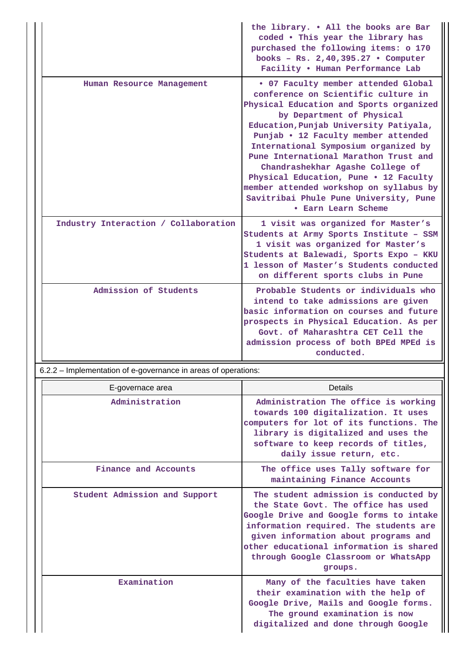|                                      | the library. . All the books are Bar<br>coded . This year the library has<br>purchased the following items: o 170<br>books - Rs. 2,40,395.27 . Computer<br>Facility . Human Performance Lab                                                                                                                                                                                                                                                                                                                   |
|--------------------------------------|---------------------------------------------------------------------------------------------------------------------------------------------------------------------------------------------------------------------------------------------------------------------------------------------------------------------------------------------------------------------------------------------------------------------------------------------------------------------------------------------------------------|
| Human Resource Management            | . 07 Faculty member attended Global<br>conference on Scientific culture in<br>Physical Education and Sports organized<br>by Department of Physical<br>Education, Punjab University Patiyala,<br>Punjab • 12 Faculty member attended<br>International Symposium organized by<br>Pune International Marathon Trust and<br>Chandrashekhar Agashe College of<br>Physical Education, Pune . 12 Faculty<br>member attended workshop on syllabus by<br>Savitribai Phule Pune University, Pune<br>• Earn Learn Scheme |
| Industry Interaction / Collaboration | 1 visit was organized for Master's<br>Students at Army Sports Institute - SSM<br>1 visit was organized for Master's<br>Students at Balewadi, Sports Expo - KKU<br>1 lesson of Master's Students conducted<br>on different sports clubs in Pune                                                                                                                                                                                                                                                                |
| Admission of Students                | Probable Students or individuals who<br>intend to take admissions are given<br>basic information on courses and future<br>prospects in Physical Education. As per<br>Govt. of Maharashtra CET Cell the<br>admission process of both BPEd MPEd is<br>conducted.                                                                                                                                                                                                                                                |

6.2.2 – Implementation of e-governance in areas of operations:

| E-governace area              | Details                                                                                                                                                                                                                                                                                                 |
|-------------------------------|---------------------------------------------------------------------------------------------------------------------------------------------------------------------------------------------------------------------------------------------------------------------------------------------------------|
| Administration                | Administration The office is working<br>towards 100 digitalization. It uses<br>computers for lot of its functions. The<br>library is digitalized and uses the<br>software to keep records of titles,<br>daily issue return, etc.                                                                        |
| Finance and Accounts          | The office uses Tally software for<br>maintaining Finance Accounts                                                                                                                                                                                                                                      |
| Student Admission and Support | The student admission is conducted by<br>the State Govt. The office has used<br>Google Drive and Google forms to intake<br>information required. The students are<br>given information about programs and<br>other educational information is shared<br>through Google Classroom or WhatsApp<br>groups. |
| Examination                   | Many of the faculties have taken<br>their examination with the help of<br>Google Drive, Mails and Google forms.<br>The ground examination is now<br>digitalized and done through Google                                                                                                                 |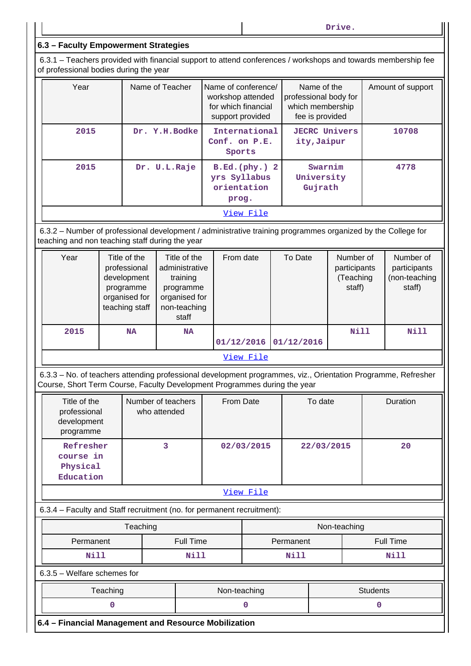**Drive.**

## **6.3 – Faculty Empowerment Strategies**

 6.3.1 – Teachers provided with financial support to attend conferences / workshops and towards membership fee of professional bodies during the year

| Year | Name of Teacher | Name of conference/<br>workshop attended<br>for which financial<br>support provided | Name of the<br>professional body for<br>which membership<br>fee is provided | Amount of support |
|------|-----------------|-------------------------------------------------------------------------------------|-----------------------------------------------------------------------------|-------------------|
| 2015 | Dr. Y.H. Bodke  | International<br>Conf. on P.E.<br>Sports                                            | <b>JECRC Univers</b><br>ity, Jaipur                                         | 10708             |
| 2015 | Dr. U.L.Raje    | $B.Ed.(phy.)$ 2<br>yrs Syllabus<br>orientation<br>prog.                             | Swarnim<br>University<br>Gujrath                                            | 4778              |
|      |                 | View File                                                                           |                                                                             |                   |

 6.3.2 – Number of professional development / administrative training programmes organized by the College for teaching and non teaching staff during the year

| Year | Title of the<br>professional<br>development<br>programme<br>organised for<br>teaching staff | Title of the<br>administrative<br>training<br>programme<br>organised for<br>non-teaching<br>staff | From date               | To Date | Number of<br>participants<br>(Teaching<br>staff) | Number of<br>participants<br>(non-teaching<br>staff) |
|------|---------------------------------------------------------------------------------------------|---------------------------------------------------------------------------------------------------|-------------------------|---------|--------------------------------------------------|------------------------------------------------------|
| 2015 | <b>NA</b>                                                                                   | <b>NA</b>                                                                                         | $01/12/2016$ 01/12/2016 |         | Nill                                             | Nill                                                 |
|      |                                                                                             |                                                                                                   | View File               |         |                                                  |                                                      |

 6.3.3 – No. of teachers attending professional development programmes, viz., Orientation Programme, Refresher Course, Short Term Course, Faculty Development Programmes during the year

| Title of the<br>professional<br>development<br>programme | Number of teachers<br>who attended | From Date  | To date    | Duration |  |  |  |
|----------------------------------------------------------|------------------------------------|------------|------------|----------|--|--|--|
| Refresher<br>course in<br>Physical<br>Education          |                                    | 02/03/2015 | 22/03/2015 | 20       |  |  |  |
| View File                                                |                                    |            |            |          |  |  |  |

6.3.4 – Faculty and Staff recruitment (no. for permanent recruitment):

|                               | Teaching                                    |      | Non-teaching |                               |  |  |  |  |
|-------------------------------|---------------------------------------------|------|--------------|-------------------------------|--|--|--|--|
| <b>Full Time</b><br>Permanent |                                             |      |              | <b>Full Time</b><br>Permanent |  |  |  |  |
|                               | Nill                                        | Nill | Nill         | <b>Nill</b>                   |  |  |  |  |
|                               | $6.3.5$ – Welfare schemes for               |      |              |                               |  |  |  |  |
|                               | Teaching<br>Non-teaching<br><b>Students</b> |      |              |                               |  |  |  |  |
|                               |                                             |      |              |                               |  |  |  |  |

**6.4 – Financial Management and Resource Mobilization**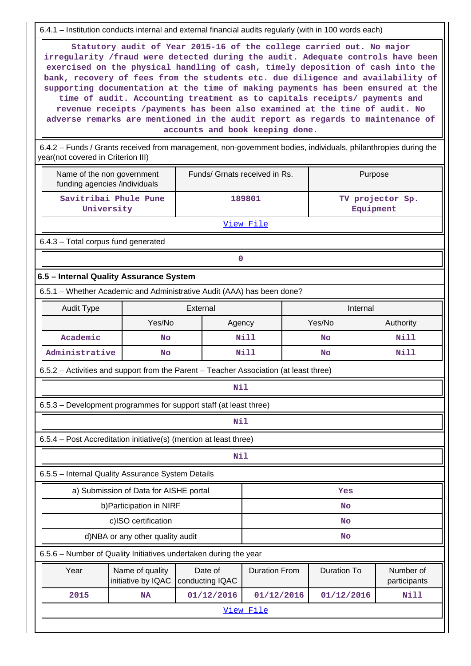6.4.1 – Institution conducts internal and external financial audits regularly (with in 100 words each)

 **Statutory audit of Year 2015-16 of the college carried out. No major irregularity /fraud were detected during the audit. Adequate controls have been exercised on the physical handling of cash, timely deposition of cash into the bank, recovery of fees from the students etc. due diligence and availability of supporting documentation at the time of making payments has been ensured at the time of audit. Accounting treatment as to capitals receipts/ payments and revenue receipts /payments has been also examined at the time of audit. No adverse remarks are mentioned in the audit report as regards to maintenance of accounts and book keeping done.**

 6.4.2 – Funds / Grants received from management, non-government bodies, individuals, philanthropies during the year(not covered in Criterion III)

| Name of the non government<br>funding agencies /individuals                           |                                        | Funds/ Grnats received in Rs. |                      |                    | Purpose                       |  |  |  |  |
|---------------------------------------------------------------------------------------|----------------------------------------|-------------------------------|----------------------|--------------------|-------------------------------|--|--|--|--|
| Savitribai Phule Pune<br>University                                                   |                                        |                               | 189801               |                    | TV projector Sp.<br>Equipment |  |  |  |  |
|                                                                                       |                                        |                               | View File            |                    |                               |  |  |  |  |
|                                                                                       | 6.4.3 - Total corpus fund generated    |                               |                      |                    |                               |  |  |  |  |
|                                                                                       |                                        | 0                             |                      |                    |                               |  |  |  |  |
| 6.5 - Internal Quality Assurance System                                               |                                        |                               |                      |                    |                               |  |  |  |  |
| 6.5.1 - Whether Academic and Administrative Audit (AAA) has been done?                |                                        |                               |                      |                    |                               |  |  |  |  |
| <b>Audit Type</b>                                                                     |                                        | External                      |                      | Internal           |                               |  |  |  |  |
|                                                                                       | Yes/No                                 | Agency                        |                      | Yes/No             | Authority                     |  |  |  |  |
| Academic                                                                              | No                                     |                               | <b>Nill</b>          | <b>No</b>          | <b>Nill</b>                   |  |  |  |  |
| Administrative                                                                        | No                                     |                               | <b>Nill</b>          | <b>No</b>          | <b>Nill</b>                   |  |  |  |  |
| 6.5.2 - Activities and support from the Parent - Teacher Association (at least three) |                                        |                               |                      |                    |                               |  |  |  |  |
|                                                                                       |                                        | <b>Nil</b>                    |                      |                    |                               |  |  |  |  |
| 6.5.3 – Development programmes for support staff (at least three)                     |                                        |                               |                      |                    |                               |  |  |  |  |
|                                                                                       |                                        | Nil                           |                      |                    |                               |  |  |  |  |
| 6.5.4 - Post Accreditation initiative(s) (mention at least three)                     |                                        |                               |                      |                    |                               |  |  |  |  |
|                                                                                       |                                        | Nil                           |                      |                    |                               |  |  |  |  |
| 6.5.5 - Internal Quality Assurance System Details                                     |                                        |                               |                      |                    |                               |  |  |  |  |
|                                                                                       | a) Submission of Data for AISHE portal |                               |                      | Yes                |                               |  |  |  |  |
|                                                                                       | b) Participation in NIRF               |                               |                      | <b>No</b>          |                               |  |  |  |  |
|                                                                                       | c)ISO certification                    |                               |                      | <b>No</b>          |                               |  |  |  |  |
|                                                                                       | d)NBA or any other quality audit       |                               |                      | <b>No</b>          |                               |  |  |  |  |
| 6.5.6 - Number of Quality Initiatives undertaken during the year                      |                                        |                               |                      |                    |                               |  |  |  |  |
| Year                                                                                  | Name of quality<br>initiative by IQAC  | Date of<br>conducting IQAC    | <b>Duration From</b> | <b>Duration To</b> | Number of<br>participants     |  |  |  |  |
| 2015                                                                                  | <b>Nill</b><br>01/12/2016              |                               |                      |                    |                               |  |  |  |  |
|                                                                                       |                                        |                               | View File            |                    |                               |  |  |  |  |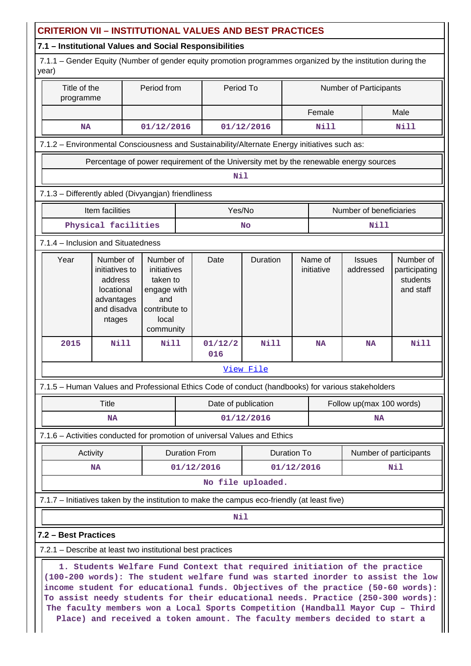|       |                                          |                                                                                             |                                                                                                   |                                                     |                      | 7.1 - Institutional Values and Social Responsibilities     | <b>CRITERION VII – INSTITUTIONAL VALUES AND BEST PRACTICES</b>                               |                        |                       |                                                                                                                                                                                                                                                                                                                                                                                                                                                                                                    |                                                     |
|-------|------------------------------------------|---------------------------------------------------------------------------------------------|---------------------------------------------------------------------------------------------------|-----------------------------------------------------|----------------------|------------------------------------------------------------|----------------------------------------------------------------------------------------------|------------------------|-----------------------|----------------------------------------------------------------------------------------------------------------------------------------------------------------------------------------------------------------------------------------------------------------------------------------------------------------------------------------------------------------------------------------------------------------------------------------------------------------------------------------------------|-----------------------------------------------------|
| year) |                                          |                                                                                             |                                                                                                   |                                                     |                      |                                                            |                                                                                              |                        |                       | 7.1.1 - Gender Equity (Number of gender equity promotion programmes organized by the institution during the                                                                                                                                                                                                                                                                                                                                                                                        |                                                     |
|       | Period from<br>Title of the<br>programme |                                                                                             |                                                                                                   |                                                     |                      | Period To                                                  |                                                                                              | Number of Participants |                       |                                                                                                                                                                                                                                                                                                                                                                                                                                                                                                    |                                                     |
|       |                                          |                                                                                             |                                                                                                   |                                                     |                      |                                                            |                                                                                              |                        | Female                | Male                                                                                                                                                                                                                                                                                                                                                                                                                                                                                               |                                                     |
|       | <b>NA</b><br>01/12/2016                  |                                                                                             |                                                                                                   |                                                     |                      |                                                            | 01/12/2016                                                                                   |                        | Nill                  | <b>Nill</b>                                                                                                                                                                                                                                                                                                                                                                                                                                                                                        |                                                     |
|       |                                          |                                                                                             |                                                                                                   |                                                     |                      |                                                            | 7.1.2 - Environmental Consciousness and Sustainability/Alternate Energy initiatives such as: |                        |                       |                                                                                                                                                                                                                                                                                                                                                                                                                                                                                                    |                                                     |
|       |                                          |                                                                                             |                                                                                                   |                                                     |                      |                                                            |                                                                                              |                        |                       | Percentage of power requirement of the University met by the renewable energy sources                                                                                                                                                                                                                                                                                                                                                                                                              |                                                     |
|       |                                          |                                                                                             |                                                                                                   |                                                     |                      | Nil                                                        |                                                                                              |                        |                       |                                                                                                                                                                                                                                                                                                                                                                                                                                                                                                    |                                                     |
|       |                                          |                                                                                             |                                                                                                   | 7.1.3 - Differently abled (Divyangjan) friendliness |                      |                                                            |                                                                                              |                        |                       |                                                                                                                                                                                                                                                                                                                                                                                                                                                                                                    |                                                     |
|       |                                          | Item facilities                                                                             |                                                                                                   |                                                     |                      | Yes/No                                                     |                                                                                              |                        |                       | Number of beneficiaries                                                                                                                                                                                                                                                                                                                                                                                                                                                                            |                                                     |
|       |                                          | Physical facilities                                                                         |                                                                                                   |                                                     |                      |                                                            | <b>No</b>                                                                                    |                        |                       | <b>Nill</b>                                                                                                                                                                                                                                                                                                                                                                                                                                                                                        |                                                     |
|       |                                          | 7.1.4 - Inclusion and Situatedness                                                          |                                                                                                   |                                                     |                      |                                                            |                                                                                              |                        |                       |                                                                                                                                                                                                                                                                                                                                                                                                                                                                                                    |                                                     |
|       | Year                                     | Number of<br>initiatives to<br>address<br>locational<br>advantages<br>and disadva<br>ntages | Number of<br>initiatives<br>taken to<br>engage with<br>and<br>contribute to<br>local<br>community |                                                     |                      | Date                                                       | Duration                                                                                     |                        | Name of<br>initiative | <b>Issues</b><br>addressed                                                                                                                                                                                                                                                                                                                                                                                                                                                                         | Number of<br>participating<br>students<br>and staff |
|       | 2015                                     | <b>Nill</b>                                                                                 |                                                                                                   | <b>Nill</b>                                         |                      | 01/12/2<br>016                                             | <b>Nill</b>                                                                                  |                        | <b>NA</b>             | <b>NA</b>                                                                                                                                                                                                                                                                                                                                                                                                                                                                                          | Nill                                                |
|       |                                          |                                                                                             |                                                                                                   |                                                     |                      |                                                            | View File                                                                                    |                        |                       |                                                                                                                                                                                                                                                                                                                                                                                                                                                                                                    |                                                     |
|       |                                          |                                                                                             |                                                                                                   |                                                     |                      |                                                            |                                                                                              |                        |                       | 7.1.5 - Human Values and Professional Ethics Code of conduct (handbooks) for various stakeholders                                                                                                                                                                                                                                                                                                                                                                                                  |                                                     |
|       |                                          | Title                                                                                       |                                                                                                   |                                                     |                      | Date of publication                                        |                                                                                              |                        |                       | Follow up(max 100 words)                                                                                                                                                                                                                                                                                                                                                                                                                                                                           |                                                     |
|       |                                          | <b>NA</b>                                                                                   |                                                                                                   |                                                     |                      |                                                            | 01/12/2016                                                                                   |                        |                       | <b>NA</b>                                                                                                                                                                                                                                                                                                                                                                                                                                                                                          |                                                     |
|       |                                          |                                                                                             |                                                                                                   |                                                     |                      |                                                            | 7.1.6 - Activities conducted for promotion of universal Values and Ethics                    |                        |                       |                                                                                                                                                                                                                                                                                                                                                                                                                                                                                                    |                                                     |
|       |                                          | Activity                                                                                    |                                                                                                   |                                                     | <b>Duration From</b> |                                                            |                                                                                              | Duration To            |                       | Number of participants                                                                                                                                                                                                                                                                                                                                                                                                                                                                             |                                                     |
|       |                                          | <b>NA</b>                                                                                   |                                                                                                   |                                                     | 01/12/2016           |                                                            | 01/12/2016                                                                                   |                        |                       | Nil                                                                                                                                                                                                                                                                                                                                                                                                                                                                                                |                                                     |
|       |                                          |                                                                                             |                                                                                                   |                                                     |                      |                                                            | No file uploaded.                                                                            |                        |                       |                                                                                                                                                                                                                                                                                                                                                                                                                                                                                                    |                                                     |
|       |                                          |                                                                                             |                                                                                                   |                                                     |                      |                                                            | 7.1.7 – Initiatives taken by the institution to make the campus eco-friendly (at least five) |                        |                       |                                                                                                                                                                                                                                                                                                                                                                                                                                                                                                    |                                                     |
|       |                                          |                                                                                             |                                                                                                   |                                                     |                      | <b>Nil</b>                                                 |                                                                                              |                        |                       |                                                                                                                                                                                                                                                                                                                                                                                                                                                                                                    |                                                     |
|       | 7.2 - Best Practices                     |                                                                                             |                                                                                                   |                                                     |                      |                                                            |                                                                                              |                        |                       |                                                                                                                                                                                                                                                                                                                                                                                                                                                                                                    |                                                     |
|       |                                          |                                                                                             |                                                                                                   |                                                     |                      | 7.2.1 - Describe at least two institutional best practices |                                                                                              |                        |                       |                                                                                                                                                                                                                                                                                                                                                                                                                                                                                                    |                                                     |
|       |                                          |                                                                                             |                                                                                                   |                                                     |                      |                                                            |                                                                                              |                        |                       | 1. Students Welfare Fund Context that required initiation of the practice<br>(100-200 words): The student welfare fund was started inorder to assist the low<br>income student for educational funds. Objectives of the practice (50-60 words):<br>To assist needy students for their educational needs. Practice (250-300 words):<br>The faculty members won a Local Sports Competition (Handball Mayor Cup - Third<br>Place) and received a token amount. The faculty members decided to start a |                                                     |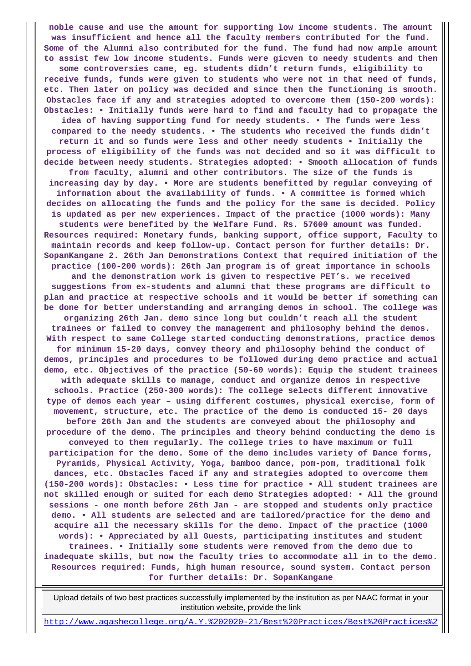**noble cause and use the amount for supporting low income students. The amount was insufficient and hence all the faculty members contributed for the fund. Some of the Alumni also contributed for the fund. The fund had now ample amount to assist few low income students. Funds were gicven to needy students and then some controversies came, eg. students didn't return funds, eligibility to receive funds, funds were given to students who were not in that need of funds, etc. Then later on policy was decided and since then the functioning is smooth. Obstacles face if any and strategies adopted to overcome them (150-200 words): Obstacles: • Initially funds were hard to find and faculty had to propagate the idea of having supporting fund for needy students. • The funds were less compared to the needy students. • The students who received the funds didn't return it and so funds were less and other needy students • Initially the process of eligibility of the funds was not decided and so it was difficult to decide between needy students. Strategies adopted: • Smooth allocation of funds from faculty, alumni and other contributors. The size of the funds is increasing day by day. • More are students benefitted by regular conveying of information about the availability of funds. • A committee is formed which decides on allocating the funds and the policy for the same is decided. Policy is updated as per new experiences. Impact of the practice (1000 words): Many students were benefited by the Welfare Fund. Rs. 57600 amount was funded. Resources required: Monetary funds, banking support, office support, Faculty to maintain records and keep follow-up. Contact person for further details: Dr. SopanKangane 2. 26th Jan Demonstrations Context that required initiation of the practice (100-200 words): 26th Jan program is of great importance in schools and the demonstration work is given to respective PET's. we received suggestions from ex-students and alumni that these programs are difficult to plan and practice at respective schools and it would be better if something can be done for better understanding and arranging demos in school. The college was organizing 26th Jan. demo since long but couldn't reach all the student trainees or failed to convey the management and philosophy behind the demos. With respect to same College started conducting demonstrations, practice demos for minimum 15-20 days, convey theory and philosophy behind the conduct of demos, principles and procedures to be followed during demo practice and actual demo, etc. Objectives of the practice (50-60 words): Equip the student trainees with adequate skills to manage, conduct and organize demos in respective schools. Practice (250-300 words): The college selects different innovative type of demos each year – using different costumes, physical exercise, form of movement, structure, etc. The practice of the demo is conducted 15- 20 days before 26th Jan and the students are conveyed about the philosophy and procedure of the demo. The principles and theory behind conducting the demo is conveyed to them regularly. The college tries to have maximum or full participation for the demo. Some of the demo includes variety of Dance forms, Pyramids, Physical Activity, Yoga, bamboo dance, pom-pom, traditional folk dances, etc. Obstacles faced if any and strategies adopted to overcome them (150-200 words): Obstacles: • Less time for practice • All student trainees are not skilled enough or suited for each demo Strategies adopted: • All the ground sessions - one month before 26th Jan - are stopped and students only practice demo. • All students are selected and are tailored/practice for the demo and acquire all the necessary skills for the demo. Impact of the practice (1000 words): • Appreciated by all Guests, participating institutes and student trainees. • Initially some students were removed from the demo due to inadequate skills, but now the faculty tries to accommodate all in to the demo. Resources required: Funds, high human resource, sound system. Contact person for further details: Dr. SopanKangane**

 Upload details of two best practices successfully implemented by the institution as per NAAC format in your institution website, provide the link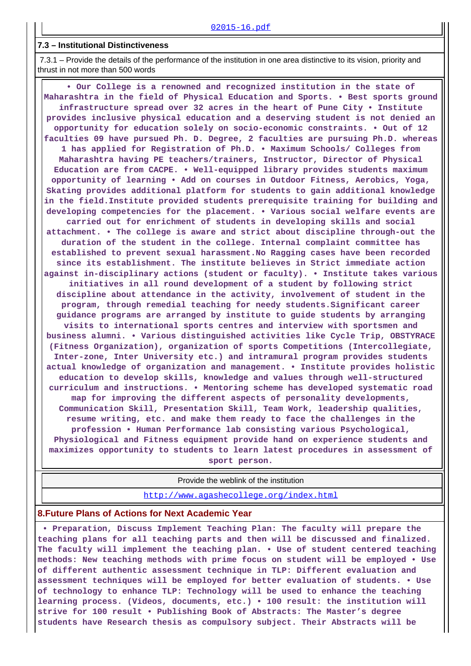#### **7.3 – Institutional Distinctiveness**

 7.3.1 – Provide the details of the performance of the institution in one area distinctive to its vision, priority and thrust in not more than 500 words

 **• Our College is a renowned and recognized institution in the state of Maharashtra in the field of Physical Education and Sports. • Best sports ground infrastructure spread over 32 acres in the heart of Pune City • Institute provides inclusive physical education and a deserving student is not denied an opportunity for education solely on socio-economic constraints. • Out of 12 faculties 09 have pursued Ph. D. Degree, 2 faculties are pursuing Ph.D. whereas 1 has applied for Registration of Ph.D. • Maximum Schools/ Colleges from Maharashtra having PE teachers/trainers, Instructor, Director of Physical Education are from CACPE. • Well-equipped library provides students maximum opportunity of learning • Add on courses in Outdoor Fitness, Aerobics, Yoga, Skating provides additional platform for students to gain additional knowledge in the field.Institute provided students prerequisite training for building and developing competencies for the placement. • Various social welfare events are carried out for enrichment of students in developing skills and social attachment. • The college is aware and strict about discipline through-out the duration of the student in the college. Internal complaint committee has established to prevent sexual harassment.No Ragging cases have been recorded since its establishment. The institute believes in Strict immediate action against in-disciplinary actions (student or faculty). • Institute takes various initiatives in all round development of a student by following strict discipline about attendance in the activity, involvement of student in the program, through remedial teaching for needy students.Significant career guidance programs are arranged by institute to guide students by arranging visits to international sports centres and interview with sportsmen and business alumni. • Various distinguished activities like Cycle Trip, OBSTYRACE (Fitness Organization), organization of sports Competitions (Intercollegiate, Inter-zone, Inter University etc.) and intramural program provides students actual knowledge of organization and management. • Institute provides holistic education to develop skills, knowledge and values through well-structured curriculum and instructions. • Mentoring scheme has developed systematic road map for improving the different aspects of personality developments, Communication Skill, Presentation Skill, Team Work, leadership qualities, resume writing, etc. and make them ready to face the challenges in the profession • Human Performance lab consisting various Psychological, Physiological and Fitness equipment provide hand on experience students and maximizes opportunity to students to learn latest procedures in assessment of sport person.**

Provide the weblink of the institution

<http://www.agashecollege.org/index.html>

#### **8.Future Plans of Actions for Next Academic Year**

 **• Preparation, Discuss Implement Teaching Plan: The faculty will prepare the teaching plans for all teaching parts and then will be discussed and finalized. The faculty will implement the teaching plan. • Use of student centered teaching methods: New teaching methods with prime focus on student will be employed • Use of different authentic assessment technique in TLP: Different evaluation and assessment techniques will be employed for better evaluation of students. • Use of technology to enhance TLP: Technology will be used to enhance the teaching learning process. (Videos, documents, etc.) • 100 result: the institution will strive for 100 result • Publishing Book of Abstracts: The Master's degree students have Research thesis as compulsory subject. Their Abstracts will be**